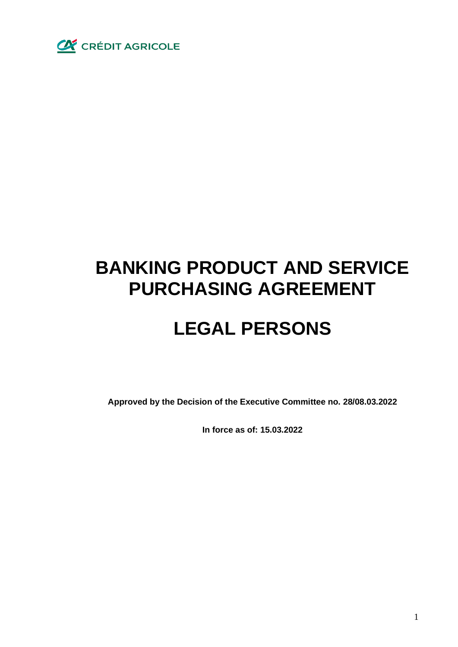

# **BANKING PRODUCT AND SERVICE PURCHASING AGREEMENT**

# **LEGAL PERSONS**

**Approved by the Decision of the Executive Committee no. 28/08.03.2022**

**In force as of: 15.03.2022**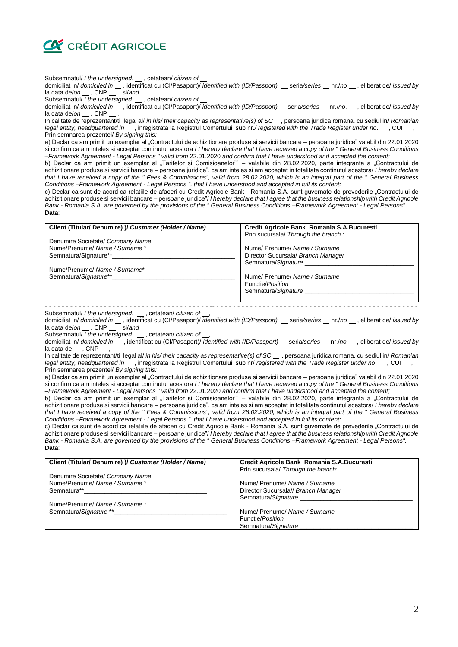

Subsemnatul/ *I the undersigned*,  $\quad$ , cetatean/ *citizen of*  $\quad$ ,

domiciliat in/ *domiciled in* \_\_\_, identificat cu (CI/Pasaport)/ *identified with (ID/Passport)* \_\_seria/series \_\_nr./*no* \_\_, eliberat de/ *issued by* la data de/*on* \_\_, CNP \_\_, si/and<br>Subsemnatul/ I the undersigned,

Subsemnatul/ *I the undersigned*,  $\_\_$ , cetatean/ *citizen of*  $\_\_$ ,

domiciliat in/ *domiciled in* \_\_\_, identificat cu (CI/Pasaport)/ *identified with (ID/Passport)* \_\_seria/series \_\_nr./*no*. \_\_, eliberat de/ *issued by* la data de/on \_\_\_, CNP \_\_

In calitate de reprezentant/ti legal al/ *in his/ their capacity as representative(s) of SC* , persoana juridica romana, cu sediul in/ *Romanian legal entity, headquartered in* , inregistrata la Registrul Comertului sub nr.*/ registered with the Trade Register under no*. , CUI , Prin semnarea prezentei/ *By signing this:*

a) Declar ca am primit un exemplar al "Contractului de achizitionare produse si servicii bancare – persoane juridice" valabil din 22.01.2020 si confirm ca am inteles si acceptat continutul acestora / *I hereby declare that I have received a copy of the " General Business Conditions –Framework Agreement - Legal Persons " valid from* 22.01.2020 *and confirm that I have understood and accepted the content;*

b) Declar ca am primit un exemplar al "Tarifelor si Comisioanelor"" – valabile din 28.02.2020, parte integranta a "Contractului de achizitionare produse si servicii bancare – persoane juridice", ca am inteles si am acceptat in totalitate continutul acestora/ *I hereby declare that I have received a copy of the " Fees & Commissions", valid from 28.02.2020, which is an integral part of the " General Business Conditions –Framework Agreement - Legal Persons ", that I have understood and accepted in full its content;*

c) Declar ca sunt de acord ca relatiile de afaceri cu Credit Agricole Bank - Romania S.A. sunt guvernate de prevederile "Contractului de achizitionare produse si servicii bancare – persoane juridice"/ *I hereby declare that I agree that the business relationship with Credit Agricole Bank - Romania S.A. are governed by the provisions of the " General Business Conditions –Framework Agreement - Legal Persons".* **Data**:

| Client (Titular/ Denumire) )/ Customer (Holder / Name) | Credit Agricole Bank Romania S.A.Bucuresti |
|--------------------------------------------------------|--------------------------------------------|
|                                                        | Prin sucursala/ Through the branch:        |
| Denumire Societate/ Company Name                       |                                            |
| Nume/Prenume/ Name / Surname *                         | Nume/ Prenume/ Name / Surname              |
| Semnatura/Signature**                                  | Director Sucursala/ Branch Manager         |
|                                                        | Semnatura/Signature                        |
| Nume/Prenume/ Name / Surname*                          |                                            |
| Semnatura/Signature**_______                           | Nume/ Prenume/ Name / Surname              |
|                                                        | Functie/Position                           |
|                                                        | Semnatura/Signature                        |
|                                                        |                                            |
|                                                        |                                            |

Subsemnatul/ *I the undersigned*,  $\quad$ , cetatean/ *citizen of*  $\quad$ ,

domiciliat in/ *domiciled in* \_\_\_, identificat cu (CI/Pasaport)/ *identified with (ID/Passport)* \_\_seria/series \_\_nr./*no* \_\_, eliberat de/ *issued by* la data de/on \_\_\_, CNP \_\_\_, si/and

Subsemnatul/ *I the undersigned*, cetatean/ *citizen of* 

domiciliat in/ *domiciled in* , identificat cu (CI/Pasaport)/ *identified with (ID/Passport)* seria*/series* nr./*no* , eliberat de/ *issued by* la data de  $\_\$ , CNP

In calitate de reprezentant/ti legal al/ *in his/ their capacity as representative(s) of SC* , persoana juridica romana, cu sediul in/ *Romanian legal entity, headquartered in* \_, inregistrata la Registrul Comertului sub nr/ *registered with the Trade Register under no*. \_, CUI \_, Prin semnarea prezentei/ *By signing this:*

a) Declar ca am primit un exemplar al "Contractului de achizitionare produse si servicii bancare – persoane juridice" valabil din 22.01.2020 si confirm ca am inteles si acceptat continutul acestora / *I hereby declare that I have received a copy of the " General Business Conditions –Framework Agreement - Legal Persons " valid from* 22.01.2020 *and confirm that I have understood and accepted the content;*

b) Declar ca am primit un exemplar al "Tarifelor si Comisioanelor"" – valabile din 28.02.2020, parte integranta a "Contractului de achizitionare produse si servicii bancare – persoane juridice", ca am inteles si am acceptat in totalitate continutul acestora/ *I hereby declare that I have received a copy of the " Fees & Commissions", valid from 28.02.2020, which is an integral part of the " General Business Conditions –Framework Agreement - Legal Persons ", that I have understood and accepted in full its content;*

c) Declar ca sunt de acord ca relatiile de afaceri cu Credit Agricole Bank - Romania S.A. sunt guvernate de prevederile "Contractului de achizitionare produse si servicii bancare – persoane juridice"/ *I hereby declare that I agree that the business relationship with Credit Agricole Bank - Romania S.A. are governed by the provisions of the " General Business Conditions –Framework Agreement - Legal Persons".* **Data**:

| Client (Titular/ Denumire) )/ Customer (Holder / Name)                  | Credit Agricole Bank Romania S.A.Bucuresti |
|-------------------------------------------------------------------------|--------------------------------------------|
|                                                                         | Prin sucursala/ Through the branch:        |
| Denumire Societate/ Company Name                                        |                                            |
| Nume/Prenume/ Name / Surname *                                          | Nume/ Prenume/ Name / Surname              |
| Semnatura** The Contract of the Semnature of the Semnature of the Semi- | Director Sucursala// Branch Manager        |
|                                                                         | Semnatura/Signature                        |
| Nume/Prenume/ Name / Surname *                                          |                                            |
| Semnatura/Signature **                                                  | Nume/ Prenume/ Name / Surname              |
|                                                                         | Functie/ <i>Position</i>                   |
|                                                                         | Semnatura/Signature                        |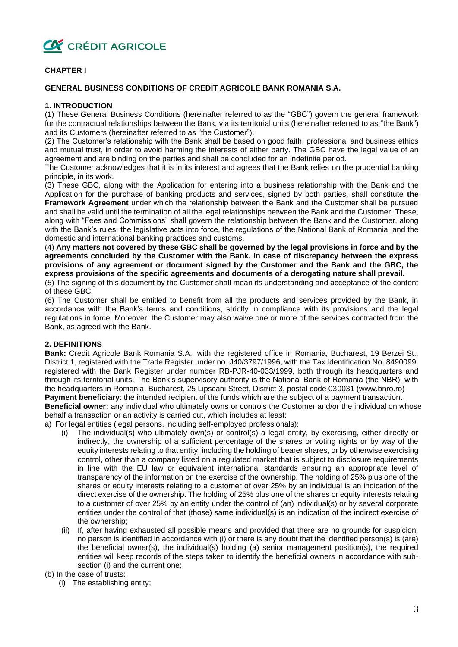

# **CHAPTER I**

# **GENERAL BUSINESS CONDITIONS OF CREDIT AGRICOLE BANK ROMANIA S.A.**

#### **1. INTRODUCTION**

(1) These General Business Conditions (hereinafter referred to as the "GBC") govern the general framework for the contractual relationships between the Bank, via its territorial units (hereinafter referred to as "the Bank") and its Customers (hereinafter referred to as "the Customer").

(2) The Customer's relationship with the Bank shall be based on good faith, professional and business ethics and mutual trust, in order to avoid harming the interests of either party. The GBC have the legal value of an agreement and are binding on the parties and shall be concluded for an indefinite period.

The Customer acknowledges that it is in its interest and agrees that the Bank relies on the prudential banking principle, in its work.

(3) These GBC, along with the Application for entering into a business relationship with the Bank and the Application for the purchase of banking products and services, signed by both parties, shall constitute **the Framework Agreement** under which the relationship between the Bank and the Customer shall be pursued and shall be valid until the termination of all the legal relationships between the Bank and the Customer. These, along with "Fees and Commissions" shall govern the relationship between the Bank and the Customer, along with the Bank's rules, the legislative acts into force, the regulations of the National Bank of Romania, and the domestic and international banking practices and customs.

(4) **Any matters not covered by these GBC shall be governed by the legal provisions in force and by the agreements concluded by the Customer with the Bank. In case of discrepancy between the express provisions of any agreement or document signed by the Customer and the Bank and the GBC, the express provisions of the specific agreements and documents of a derogating nature shall prevail.**

(5) The signing of this document by the Customer shall mean its understanding and acceptance of the content of these GBC.

(6) The Customer shall be entitled to benefit from all the products and services provided by the Bank, in accordance with the Bank's terms and conditions, strictly in compliance with its provisions and the legal regulations in force. Moreover, the Customer may also waive one or more of the services contracted from the Bank, as agreed with the Bank.

# **2. DEFINITIONS**

**Bank:** Credit Agricole Bank Romania S.A., with the registered office in Romania, Bucharest, 19 Berzei St., District 1, registered with the Trade Register under no. J40/3797/1996, with the Tax Identification No. 8490099, registered with the Bank Register under number RB-PJR-40-033/1999, both through its headquarters and through its territorial units. The Bank's supervisory authority is the National Bank of Romania (the NBR), with the headquarters in Romania, Bucharest, 25 Lipscani Street, District 3, postal code 030031 (www.bnro.ro) **Payment beneficiary**: the intended recipient of the funds which are the subject of a payment transaction.

**Beneficial owner:** any individual who ultimately owns or controls the Customer and/or the individual on whose behalf a transaction or an activity is carried out, which includes at least:

a) For legal entities (legal persons, including self-employed professionals):

- (i) The individual(s) who ultimately own(s) or control(s) a legal entity, by exercising, either directly or indirectly, the ownership of a sufficient percentage of the shares or voting rights or by way of the equity interests relating to that entity, including the holding of bearer shares, or by otherwise exercising control, other than a company listed on a regulated market that is subject to disclosure requirements in line with the EU law or equivalent international standards ensuring an appropriate level of transparency of the information on the exercise of the ownership. The holding of 25% plus one of the shares or equity interests relating to a customer of over 25% by an individual is an indication of the direct exercise of the ownership. The holding of 25% plus one of the shares or equity interests relating to a customer of over 25% by an entity under the control of (an) individual(s) or by several corporate entities under the control of that (those) same individual(s) is an indication of the indirect exercise of the ownership;
- If, after having exhausted all possible means and provided that there are no grounds for suspicion, no person is identified in accordance with (i) or there is any doubt that the identified person(s) is (are) the beneficial owner(s), the individual(s) holding (a) senior management position(s), the required entities will keep records of the steps taken to identify the beneficial owners in accordance with subsection (i) and the current one;

(b) In the case of trusts:

(i) The establishing entity;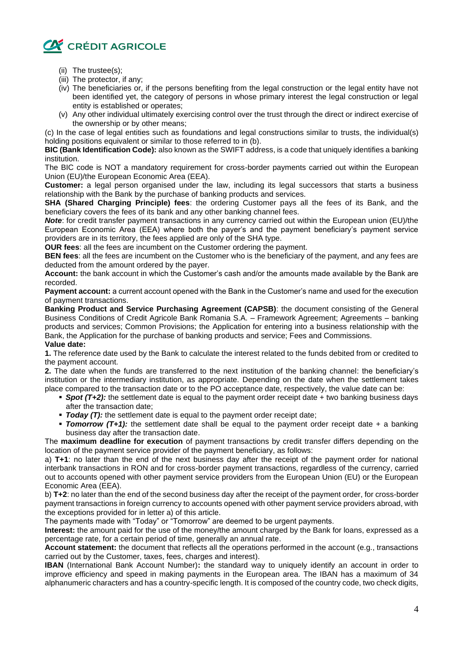

- (ii) The trustee(s);
- (iii) The protector, if any;
- (iv) The beneficiaries or, if the persons benefiting from the legal construction or the legal entity have not been identified yet, the category of persons in whose primary interest the legal construction or legal entity is established or operates;
- (v) Any other individual ultimately exercising control over the trust through the direct or indirect exercise of the ownership or by other means;

(c) In the case of legal entities such as foundations and legal constructions similar to trusts, the individual(s) holding positions equivalent or similar to those referred to in (b).

**BIC (Bank Identification Code):** also known as the SWIFT address, is a code that uniquely identifies a banking institution.

The BIC code is NOT a mandatory requirement for cross-border payments carried out within the European Union (EU)/the European Economic Area (EEA).

**Customer:** a legal person organised under the law, including its legal successors that starts a business relationship with the Bank by the purchase of banking products and services.

**SHA (Shared Charging Principle) fees**: the ordering Customer pays all the fees of its Bank, and the beneficiary covers the fees of its bank and any other banking channel fees.

*Note*: for credit transfer payment transactions in any currency carried out within the European union (EU)/the European Economic Area (EEA) where both the payer's and the payment beneficiary's payment service providers are in its territory, the fees applied are only of the SHA type.

**OUR fees**: all the fees are incumbent on the Customer ordering the payment.

**BEN fees**: all the fees are incumbent on the Customer who is the beneficiary of the payment, and any fees are deducted from the amount ordered by the payer.

**Account:** the bank account in which the Customer's cash and/or the amounts made available by the Bank are recorded.

**Payment account:** a current account opened with the Bank in the Customer's name and used for the execution of payment transactions.

**Banking Product and Service Purchasing Agreement (CAPSB)**: the document consisting of the General Business Conditions of Credit Agricole Bank Romania S.A. – Framework Agreement; Agreements – banking products and services; Common Provisions; the Application for entering into a business relationship with the Bank, the Application for the purchase of banking products and service; Fees and Commissions. **Value date:** 

**1.** The reference date used by the Bank to calculate the interest related to the funds debited from or credited to the payment account.

**2.** The date when the funds are transferred to the next institution of the banking channel: the beneficiary's institution or the intermediary institution, as appropriate. Depending on the date when the settlement takes place compared to the transaction date or to the PO acceptance date, respectively, the value date can be:

- *Spot (T+2):* the settlement date is equal to the payment order receipt date + two banking business days after the transaction date;
- *Today (T):* the settlement date is equal to the payment order receipt date;
- *Tomorrow* (T+1): the settlement date shall be equal to the payment order receipt date + a banking business day after the transaction date.

The **maximum deadline for execution** of payment transactions by credit transfer differs depending on the location of the payment service provider of the payment beneficiary, as follows:

a) **T+1**: no later than the end of the next business day after the receipt of the payment order for national interbank transactions in RON and for cross-border payment transactions, regardless of the currency, carried out to accounts opened with other payment service providers from the European Union (EU) or the European Economic Area (EEA).

b) **T+2**: no later than the end of the second business day after the receipt of the payment order, for cross-border payment transactions in foreign currency to accounts opened with other payment service providers abroad, with the exceptions provided for in letter a) of this article.

The payments made with "Today" or "Tomorrow" are deemed to be urgent payments.

**Interest:** the amount paid for the use of the money/the amount charged by the Bank for loans, expressed as a percentage rate, for a certain period of time, generally an annual rate.

**Account statement:** the document that reflects all the operations performed in the account (e.g., transactions carried out by the Customer, taxes, fees, charges and interest).

**IBAN** (International Bank Account Number)**:** the standard way to uniquely identify an account in order to improve efficiency and speed in making payments in the European area. The IBAN has a maximum of 34 alphanumeric characters and has a country-specific length. It is composed of the country code, two check digits,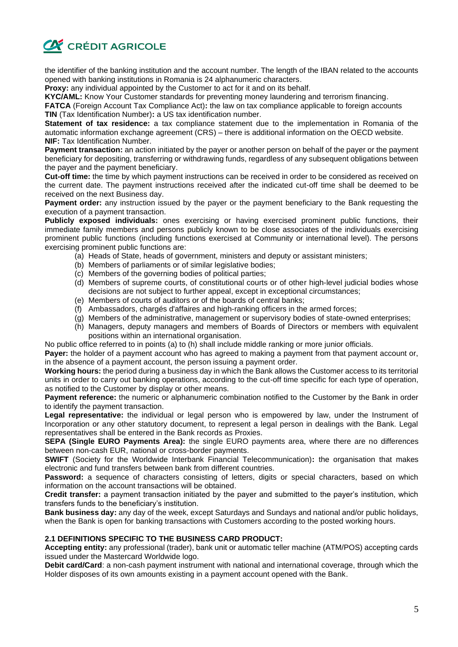

the identifier of the banking institution and the account number. The length of the IBAN related to the accounts opened with banking institutions in Romania is 24 alphanumeric characters.

**Proxy:** any individual appointed by the Customer to act for it and on its behalf.

**KYC/AML:** Know Your Customer standards for preventing money laundering and terrorism financing.

**FATCA** (Foreign Account Tax Compliance Act)**:** the law on tax compliance applicable to foreign accounts

**TIN** (Tax Identification Number)**:** a US tax identification number.

**Statement of tax residence:** a tax compliance statement due to the implementation in Romania of the automatic information exchange agreement (CRS) – there is additional information on the OECD website. **NIF:** Tax Identification Number.

**Payment transaction:** an action initiated by the payer or another person on behalf of the payer or the payment beneficiary for depositing, transferring or withdrawing funds, regardless of any subsequent obligations between the payer and the payment beneficiary.

**Cut-off time:** the time by which payment instructions can be received in order to be considered as received on the current date. The payment instructions received after the indicated cut-off time shall be deemed to be received on the next Business day.

**Payment order:** any instruction issued by the payer or the payment beneficiary to the Bank requesting the execution of a payment transaction.

**Publicly exposed individuals:** ones exercising or having exercised prominent public functions, their immediate family members and persons publicly known to be close associates of the individuals exercising prominent public functions (including functions exercised at Community or international level). The persons exercising prominent public functions are:

- (a) Heads of State, heads of government, ministers and deputy or assistant ministers;
- (b) Members of parliaments or of similar legislative bodies;
- (c) Members of the governing bodies of political parties;
- (d) Members of supreme courts, of constitutional courts or of other high-level judicial bodies whose decisions are not subject to further appeal, except in exceptional circumstances;
- (e) Members of courts of auditors or of the boards of central banks;
- (f) Ambassadors, chargés d'affaires and high-ranking officers in the armed forces;
- (g) Members of the administrative, management or supervisory bodies of state-owned enterprises;
- (h) Managers, deputy managers and members of Boards of Directors or members with equivalent positions within an international organisation.

No public office referred to in points (a) to (h) shall include middle ranking or more junior officials.

**Payer:** the holder of a payment account who has agreed to making a payment from that payment account or, in the absence of a payment account, the person issuing a payment order.

**Working hours:** the period during a business day in which the Bank allows the Customer access to its territorial units in order to carry out banking operations, according to the cut-off time specific for each type of operation, as notified to the Customer by display or other means.

**Payment reference:** the numeric or alphanumeric combination notified to the Customer by the Bank in order to identify the payment transaction.

**Legal representative:** the individual or legal person who is empowered by law, under the Instrument of Incorporation or any other statutory document, to represent a legal person in dealings with the Bank. Legal representatives shall be entered in the Bank records as Proxies.

**SEPA (Single EURO Payments Area):** the single EURO payments area, where there are no differences between non-cash EUR, national or cross-border payments.

**SWIFT** (Society for the Worldwide Interbank Financial Telecommunication)**:** the organisation that makes electronic and fund transfers between bank from different countries.

**Password:** a sequence of characters consisting of letters, digits or special characters, based on which information on the account transactions will be obtained.

**Credit transfer:** a payment transaction initiated by the payer and submitted to the payer's institution, which transfers funds to the beneficiary's institution.

**Bank business day:** any day of the week, except Saturdays and Sundays and national and/or public holidays, when the Bank is open for banking transactions with Customers according to the posted working hours.

#### **2.1 DEFINITIONS SPECIFIC TO THE BUSINESS CARD PRODUCT:**

**Accepting entity:** any professional (trader), bank unit or automatic teller machine (ATM/POS) accepting cards issued under the Mastercard Worldwide logo.

**Debit card/Card**: a non-cash payment instrument with national and international coverage, through which the Holder disposes of its own amounts existing in a payment account opened with the Bank.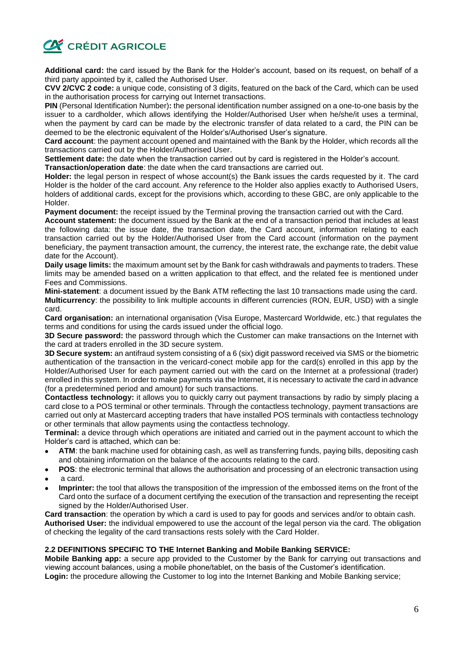

**Additional card:** the card issued by the Bank for the Holder's account, based on its request, on behalf of a third party appointed by it, called the Authorised User.

**CVV 2/CVC 2 code:** a unique code, consisting of 3 digits, featured on the back of the Card, which can be used in the authorisation process for carrying out Internet transactions.

**PIN** (Personal Identification Number)**:** the personal identification number assigned on a one-to-one basis by the issuer to a cardholder, which allows identifying the Holder/Authorised User when he/she/it uses a terminal, when the payment by card can be made by the electronic transfer of data related to a card, the PIN can be deemed to be the electronic equivalent of the Holder's/Authorised User's signature.

**Card account**: the payment account opened and maintained with the Bank by the Holder, which records all the transactions carried out by the Holder/Authorised User.

**Settlement date:** the date when the transaction carried out by card is registered in the Holder's account.

**Transaction/operation date**: the date when the card transactions are carried out.

**Holder:** the legal person in respect of whose account(s) the Bank issues the cards requested by it. The card Holder is the holder of the card account. Any reference to the Holder also applies exactly to Authorised Users, holders of additional cards, except for the provisions which, according to these GBC, are only applicable to the Holder.

**Payment document:** the receipt issued by the Terminal proving the transaction carried out with the Card.

**Account statement:** the document issued by the Bank at the end of a transaction period that includes at least the following data: the issue date, the transaction date, the Card account, information relating to each transaction carried out by the Holder/Authorised User from the Card account (information on the payment beneficiary, the payment transaction amount, the currency, the interest rate, the exchange rate, the debit value date for the Account).

**Daily usage limits:** the maximum amount set by the Bank for cash withdrawals and payments to traders. These limits may be amended based on a written application to that effect, and the related fee is mentioned under Fees and Commissions.

**Mini-statement**: a document issued by the Bank ATM reflecting the last 10 transactions made using the card. **Multicurrency**: the possibility to link multiple accounts in different currencies (RON, EUR, USD) with a single card.

**Card organisation:** an international organisation (Visa Europe, Mastercard Worldwide, etc.) that regulates the terms and conditions for using the cards issued under the official logo.

**3D Secure password:** the password through which the Customer can make transactions on the Internet with the card at traders enrolled in the 3D secure system.

**3D Secure system:** an antifraud system consisting of a 6 (six) digit password received via SMS or the biometric authentication of the transaction in the vericard-conect mobile app for the card(s) enrolled in this app by the Holder/Authorised User for each payment carried out with the card on the Internet at a professional (trader) enrolled in this system. In order to make payments via the Internet, it is necessary to activate the card in advance (for a predetermined period and amount) for such transactions.

**Contactless technology:** it allows you to quickly carry out payment transactions by radio by simply placing a card close to a POS terminal or other terminals. Through the contactless technology, payment transactions are carried out only at Mastercard accepting traders that have installed POS terminals with contactless technology or other terminals that allow payments using the contactless technology.

**Terminal:** a device through which operations are initiated and carried out in the payment account to which the Holder's card is attached, which can be:

- **ATM**: the bank machine used for obtaining cash, as well as transferring funds, paying bills, depositing cash and obtaining information on the balance of the accounts relating to the card.
- **POS**: the electronic terminal that allows the authorisation and processing of an electronic transaction using
- a card.
- **Imprinter:** the tool that allows the transposition of the impression of the embossed items on the front of the Card onto the surface of a document certifying the execution of the transaction and representing the receipt signed by the Holder/Authorised User.

**Card transaction**: the operation by which a card is used to pay for goods and services and/or to obtain cash. **Authorised User:** the individual empowered to use the account of the legal person via the card. The obligation of checking the legality of the card transactions rests solely with the Card Holder.

# **2.2 DEFINITIONS SPECIFIC TO THE Internet Banking and Mobile Banking SERVICE:**

**Mobile Banking app:** a secure app provided to the Customer by the Bank for carrying out transactions and viewing account balances, using a mobile phone/tablet, on the basis of the Customer's identification.

**Login:** the procedure allowing the Customer to log into the Internet Banking and Mobile Banking service;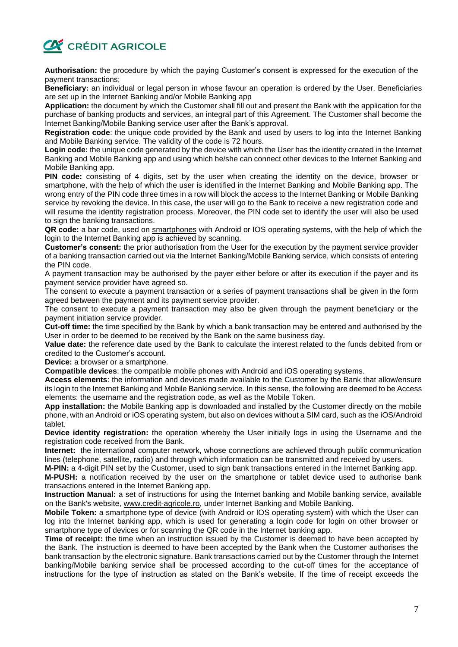

**Authorisation:** the procedure by which the paying Customer's consent is expressed for the execution of the payment transactions;

**Beneficiary:** an individual or legal person in whose favour an operation is ordered by the User. Beneficiaries are set up in the Internet Banking and/or Mobile Banking app

**Application:** the document by which the Customer shall fill out and present the Bank with the application for the purchase of banking products and services, an integral part of this Agreement. The Customer shall become the Internet Banking/Mobile Banking service user after the Bank's approval.

**Registration code**: the unique code provided by the Bank and used by users to log into the Internet Banking and Mobile Banking service. The validity of the code is 72 hours.

**Login code:** the unique code generated by the device with which the User has the identity created in the Internet Banking and Mobile Banking app and using which he/she can connect other devices to the Internet Banking and Mobile Banking app.

**PIN code:** consisting of 4 digits, set by the user when creating the identity on the device, browser or smartphone, with the help of which the user is identified in the Internet Banking and Mobile Banking app. The wrong entry of the PIN code three times in a row will block the access to the Internet Banking or Mobile Banking service by revoking the device. In this case, the user will go to the Bank to receive a new registration code and will resume the identity registration process. Moreover, the PIN code set to identify the user will also be used to sign the banking transactions.

**QR code:** a bar code, used on [smartphones](https://ro.wikipedia.org/wiki/Smartphone) with Android or IOS operating systems, with the help of which the login to the Internet Banking app is achieved by scanning.

**Customer's consent:** the prior authorisation from the User for the execution by the payment service provider of a banking transaction carried out via the Internet Banking/Mobile Banking service, which consists of entering the PIN code.

A payment transaction may be authorised by the payer either before or after its execution if the payer and its payment service provider have agreed so.

The consent to execute a payment transaction or a series of payment transactions shall be given in the form agreed between the payment and its payment service provider.

The consent to execute a payment transaction may also be given through the payment beneficiary or the payment initiation service provider.

**Cut-off time:** the time specified by the Bank by which a bank transaction may be entered and authorised by the User in order to be deemed to be received by the Bank on the same business day.

**Value date:** the reference date used by the Bank to calculate the interest related to the funds debited from or credited to the Customer's account.

**Device:** a browser or a smartphone.

**Compatible devices**: the compatible mobile phones with Android and iOS operating systems.

**Access elements**: the information and devices made available to the Customer by the Bank that allow/ensure its login to the Internet Banking and Mobile Banking service. In this sense, the following are deemed to be Access elements: the username and the registration code, as well as the Mobile Token.

**App installation:** the Mobile Banking app is downloaded and installed by the Customer directly on the mobile phone, with an Android or iOS operating system, but also on devices without a SIM card, such as the iOS/Android tablet.

**Device identity registration:** the operation whereby the User initially logs in using the Username and the registration code received from the Bank.

**Internet:** the international computer network, whose connections are achieved through public communication lines (telephone, satellite, radio) and through which information can be transmitted and received by users.

**M-PIN:** a 4-digit PIN set by the Customer, used to sign bank transactions entered in the Internet Banking app.

**M-PUSH:** a notification received by the user on the smartphone or tablet device used to authorise bank transactions entered in the Internet Banking app.

**Instruction Manual:** a set of instructions for using the Internet banking and Mobile banking service, available on the Bank's website, www.credit-agricole.ro, under Internet Banking and Mobile Banking.

**Mobile Token:** a smartphone type of device (with Android or IOS operating system) with which the User can log into the Internet banking app, which is used for generating a login code for login on other browser or smartphone type of devices or for scanning the QR code in the Internet banking app.

**Time of receipt:** the time when an instruction issued by the Customer is deemed to have been accepted by the Bank. The instruction is deemed to have been accepted by the Bank when the Customer authorises the bank transaction by the electronic signature. Bank transactions carried out by the Customer through the Internet banking/Mobile banking service shall be processed according to the cut-off times for the acceptance of instructions for the type of instruction as stated on the Bank's website. If the time of receipt exceeds the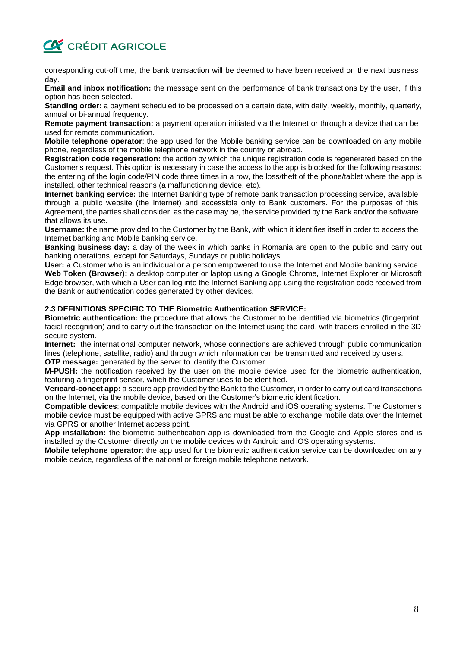

corresponding cut-off time, the bank transaction will be deemed to have been received on the next business day.

**Email and inbox notification:** the message sent on the performance of bank transactions by the user, if this option has been selected.

**Standing order:** a payment scheduled to be processed on a certain date, with daily, weekly, monthly, quarterly, annual or bi-annual frequency.

**Remote payment transaction:** a payment operation initiated via the Internet or through a device that can be used for remote communication.

**Mobile telephone operator**: the app used for the Mobile banking service can be downloaded on any mobile phone, regardless of the mobile telephone network in the country or abroad.

**Registration code regeneration:** the action by which the unique registration code is regenerated based on the Customer's request. This option is necessary in case the access to the app is blocked for the following reasons: the entering of the login code/PIN code three times in a row, the loss/theft of the phone/tablet where the app is installed, other technical reasons (a malfunctioning device, etc).

**Internet banking service:** the Internet Banking type of remote bank transaction processing service, available through a public website (the Internet) and accessible only to Bank customers. For the purposes of this Agreement, the parties shall consider, as the case may be, the service provided by the Bank and/or the software that allows its use.

**Username:** the name provided to the Customer by the Bank, with which it identifies itself in order to access the Internet banking and Mobile banking service.

**Banking business day:** a day of the week in which banks in Romania are open to the public and carry out banking operations, except for Saturdays, Sundays or public holidays.

**User:** a Customer who is an individual or a person empowered to use the Internet and Mobile banking service. **Web Token (Browser):** a desktop computer or laptop using a Google Chrome, Internet Explorer or Microsoft Edge browser, with which a User can log into the Internet Banking app using the registration code received from

the Bank or authentication codes generated by other devices.

#### **2.3 DEFINITIONS SPECIFIC TO THE Biometric Authentication SERVICE:**

**Biometric authentication:** the procedure that allows the Customer to be identified via biometrics (fingerprint, facial recognition) and to carry out the transaction on the Internet using the card, with traders enrolled in the 3D secure system.

**Internet:** the international computer network, whose connections are achieved through public communication lines (telephone, satellite, radio) and through which information can be transmitted and received by users. **OTP message:** generated by the server to identify the Customer.

**M-PUSH:** the notification received by the user on the mobile device used for the biometric authentication, featuring a fingerprint sensor, which the Customer uses to be identified.

**Vericard-conect app:** a secure app provided by the Bank to the Customer, in order to carry out card transactions on the Internet, via the mobile device, based on the Customer's biometric identification.

**Compatible devices**: compatible mobile devices with the Android and iOS operating systems. The Customer's mobile device must be equipped with active GPRS and must be able to exchange mobile data over the Internet via GPRS or another Internet access point.

**App installation:** the biometric authentication app is downloaded from the Google and Apple stores and is installed by the Customer directly on the mobile devices with Android and iOS operating systems.

**Mobile telephone operator**: the app used for the biometric authentication service can be downloaded on any mobile device, regardless of the national or foreign mobile telephone network.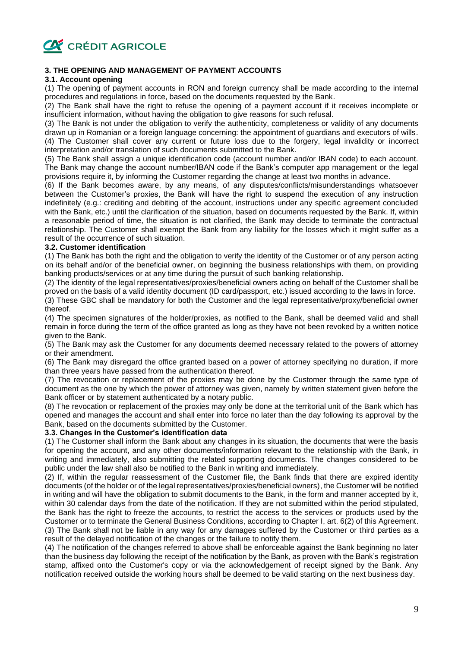

# **3. THE OPENING AND MANAGEMENT OF PAYMENT ACCOUNTS**

# **3.1. Account opening**

(1) The opening of payment accounts in RON and foreign currency shall be made according to the internal procedures and regulations in force, based on the documents requested by the Bank.

(2) The Bank shall have the right to refuse the opening of a payment account if it receives incomplete or insufficient information, without having the obligation to give reasons for such refusal.

(3) The Bank is not under the obligation to verify the authenticity, completeness or validity of any documents drawn up in Romanian or a foreign language concerning: the appointment of guardians and executors of wills. (4) The Customer shall cover any current or future loss due to the forgery, legal invalidity or incorrect interpretation and/or translation of such documents submitted to the Bank.

(5) The Bank shall assign a unique identification code (account number and/or IBAN code) to each account. The Bank may change the account number/IBAN code if the Bank's computer app management or the legal provisions require it, by informing the Customer regarding the change at least two months in advance.

(6) If the Bank becomes aware, by any means, of any disputes/conflicts/misunderstandings whatsoever between the Customer's proxies, the Bank will have the right to suspend the execution of any instruction indefinitely (e.g.: crediting and debiting of the account, instructions under any specific agreement concluded with the Bank, etc.) until the clarification of the situation, based on documents requested by the Bank. If, within a reasonable period of time, the situation is not clarified, the Bank may decide to terminate the contractual relationship. The Customer shall exempt the Bank from any liability for the losses which it might suffer as a result of the occurrence of such situation.

# **3.2. Customer identification**

(1) The Bank has both the right and the obligation to verify the identity of the Customer or of any person acting on its behalf and/or of the beneficial owner, on beginning the business relationships with them, on providing banking products/services or at any time during the pursuit of such banking relationship.

(2) The identity of the legal representatives/proxies/beneficial owners acting on behalf of the Customer shall be proved on the basis of a valid identity document (ID card/passport, etc.) issued according to the laws in force.

(3) These GBC shall be mandatory for both the Customer and the legal representative/proxy/beneficial owner thereof.

(4) The specimen signatures of the holder/proxies, as notified to the Bank, shall be deemed valid and shall remain in force during the term of the office granted as long as they have not been revoked by a written notice given to the Bank.

(5) The Bank may ask the Customer for any documents deemed necessary related to the powers of attorney or their amendment.

(6) The Bank may disregard the office granted based on a power of attorney specifying no duration, if more than three years have passed from the authentication thereof.

(7) The revocation or replacement of the proxies may be done by the Customer through the same type of document as the one by which the power of attorney was given, namely by written statement given before the Bank officer or by statement authenticated by a notary public.

(8) The revocation or replacement of the proxies may only be done at the territorial unit of the Bank which has opened and manages the account and shall enter into force no later than the day following its approval by the Bank, based on the documents submitted by the Customer.

#### **3.3. Changes in the Customer's identification data**

(1) The Customer shall inform the Bank about any changes in its situation, the documents that were the basis for opening the account, and any other documents/information relevant to the relationship with the Bank, in writing and immediately, also submitting the related supporting documents. The changes considered to be public under the law shall also be notified to the Bank in writing and immediately.

(2) If, within the regular reassessment of the Customer file, the Bank finds that there are expired identity documents (of the holder or of the legal representatives/proxies/beneficial owners), the Customer will be notified in writing and will have the obligation to submit documents to the Bank, in the form and manner accepted by it, within 30 calendar days from the date of the notification. If they are not submitted within the period stipulated, the Bank has the right to freeze the accounts, to restrict the access to the services or products used by the Customer or to terminate the General Business Conditions, according to Chapter I, art. 6(2) of this Agreement. (3) The Bank shall not be liable in any way for any damages suffered by the Customer or third parties as a result of the delayed notification of the changes or the failure to notify them.

(4) The notification of the changes referred to above shall be enforceable against the Bank beginning no later than the business day following the receipt of the notification by the Bank, as proven with the Bank's registration stamp, affixed onto the Customer's copy or via the acknowledgement of receipt signed by the Bank. Any notification received outside the working hours shall be deemed to be valid starting on the next business day.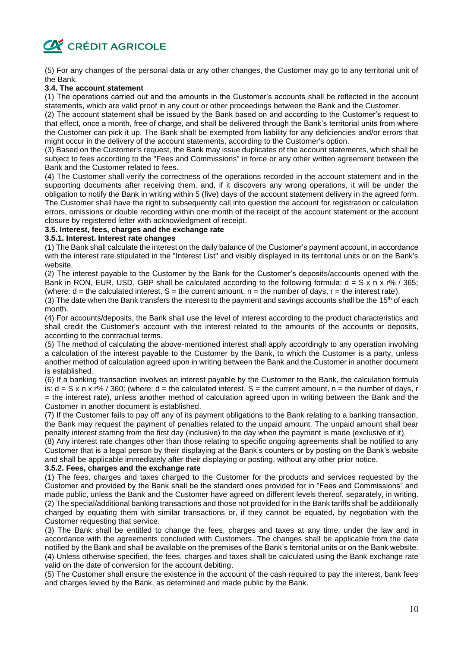# **CA CRÉDIT AGRICOLE**

(5) For any changes of the personal data or any other changes, the Customer may go to any territorial unit of the Bank.

# **3.4. The account statement**

(1) The operations carried out and the amounts in the Customer's accounts shall be reflected in the account statements, which are valid proof in any court or other proceedings between the Bank and the Customer.

(2) The account statement shall be issued by the Bank based on and according to the Customer's request to that effect, once a month, free of charge, and shall be delivered through the Bank's territorial units from where the Customer can pick it up. The Bank shall be exempted from liability for any deficiencies and/or errors that might occur in the delivery of the account statements, according to the Customer's option.

(3) Based on the Customer's request, the Bank may issue duplicates of the account statements, which shall be subject to fees according to the "Fees and Commissions" in force or any other written agreement between the Bank and the Customer related to fees.

(4) The Customer shall verify the correctness of the operations recorded in the account statement and in the supporting documents after receiving them, and, if it discovers any wrong operations, it will be under the obligation to notify the Bank in writing within 5 (five) days of the account statement delivery in the agreed form. The Customer shall have the right to subsequently call into question the account for registration or calculation errors, omissions or double recording within one month of the receipt of the account statement or the account closure by registered letter with acknowledgment of receipt.

#### **3.5. Interest, fees, charges and the exchange rate**

#### **3.5.1. Interest. Interest rate changes**

(1) The Bank shall calculate the interest on the daily balance of the Customer's payment account, in accordance with the interest rate stipulated in the "Interest List" and visibly displayed in its territorial units or on the Bank's website.

(2) The interest payable to the Customer by the Bank for the Customer's deposits/accounts opened with the Bank in RON, EUR, USD, GBP shall be calculated according to the following formula:  $d = S \times n \times r\%$  / 365; (where:  $d =$  the calculated interest,  $S =$  the current amount,  $n =$  the number of days,  $r =$  the interest rate).

(3) The date when the Bank transfers the interest to the payment and savings accounts shall be the 15<sup>th</sup> of each month.

(4) For accounts/deposits, the Bank shall use the level of interest according to the product characteristics and shall credit the Customer's account with the interest related to the amounts of the accounts or deposits, according to the contractual terms.

(5) The method of calculating the above-mentioned interest shall apply accordingly to any operation involving a calculation of the interest payable to the Customer by the Bank, to which the Customer is a party, unless another method of calculation agreed upon in writing between the Bank and the Customer in another document is established.

(6) If a banking transaction involves an interest payable by the Customer to the Bank, the calculation formula is:  $d = S \times n \times r\%$  / 360; (where:  $d =$  the calculated interest,  $S =$  the current amount,  $n =$  the number of days, r = the interest rate), unless another method of calculation agreed upon in writing between the Bank and the Customer in another document is established.

(7) If the Customer fails to pay off any of its payment obligations to the Bank relating to a banking transaction, the Bank may request the payment of penalties related to the unpaid amount. The unpaid amount shall bear penalty interest starting from the first day (inclusive) to the day when the payment is made (exclusive of it).

(8) Any interest rate changes other than those relating to specific ongoing agreements shall be notified to any Customer that is a legal person by their displaying at the Bank's counters or by posting on the Bank's website and shall be applicable immediately after their displaying or posting, without any other prior notice.

#### **3.5.2. Fees, charges and the exchange rate**

(1) The fees, charges and taxes charged to the Customer for the products and services requested by the Customer and provided by the Bank shall be the standard ones provided for in "Fees and Commissions" and made public, unless the Bank and the Customer have agreed on different levels thereof, separately, in writing. (2) The special/additional banking transactions and those not provided for in the Bank tariffs shall be additionally charged by equating them with similar transactions or, if they cannot be equated, by negotiation with the Customer requesting that service.

(3) The Bank shall be entitled to change the fees, charges and taxes at any time, under the law and in accordance with the agreements concluded with Customers. The changes shall be applicable from the date notified by the Bank and shall be available on the premises of the Bank's territorial units or on the Bank website. (4) Unless otherwise specified, the fees, charges and taxes shall be calculated using the Bank exchange rate valid on the date of conversion for the account debiting.

(5) The Customer shall ensure the existence in the account of the cash required to pay the interest, bank fees and charges levied by the Bank, as determined and made public by the Bank.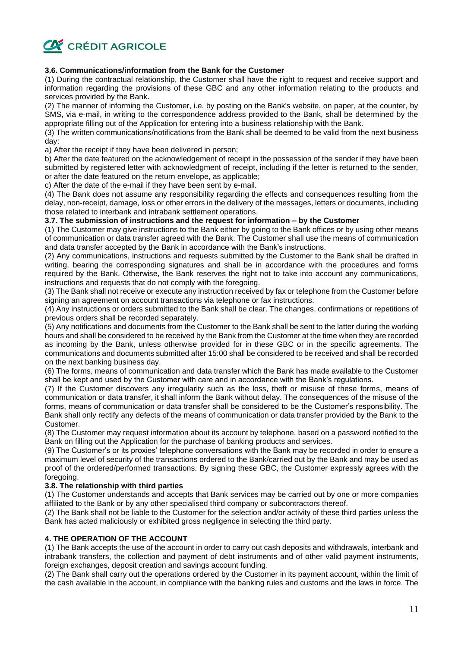

# **3.6. Communications/information from the Bank for the Customer**

(1) During the contractual relationship, the Customer shall have the right to request and receive support and information regarding the provisions of these GBC and any other information relating to the products and services provided by the Bank.

(2) The manner of informing the Customer, i.e. by posting on the Bank's website, on paper, at the counter, by SMS, via e-mail, in writing to the correspondence address provided to the Bank, shall be determined by the appropriate filling out of the Application for entering into a business relationship with the Bank.

(3) The written communications/notifications from the Bank shall be deemed to be valid from the next business day:

a) After the receipt if they have been delivered in person;

b) After the date featured on the acknowledgement of receipt in the possession of the sender if they have been submitted by registered letter with acknowledgment of receipt, including if the letter is returned to the sender, or after the date featured on the return envelope, as applicable;

c) After the date of the e-mail if they have been sent by e-mail.

(4) The Bank does not assume any responsibility regarding the effects and consequences resulting from the delay, non-receipt, damage, loss or other errors in the delivery of the messages, letters or documents, including those related to interbank and intrabank settlement operations.

#### **3.7. The submission of instructions and the request for information – by the Customer**

(1) The Customer may give instructions to the Bank either by going to the Bank offices or by using other means of communication or data transfer agreed with the Bank. The Customer shall use the means of communication and data transfer accepted by the Bank in accordance with the Bank's instructions.

(2) Any communications, instructions and requests submitted by the Customer to the Bank shall be drafted in writing, bearing the corresponding signatures and shall be in accordance with the procedures and forms required by the Bank. Otherwise, the Bank reserves the right not to take into account any communications, instructions and requests that do not comply with the foregoing.

(3) The Bank shall not receive or execute any instruction received by fax or telephone from the Customer before signing an agreement on account transactions via telephone or fax instructions.

(4) Any instructions or orders submitted to the Bank shall be clear. The changes, confirmations or repetitions of previous orders shall be recorded separately.

(5) Any notifications and documents from the Customer to the Bank shall be sent to the latter during the working hours and shall be considered to be received by the Bank from the Customer at the time when they are recorded as incoming by the Bank, unless otherwise provided for in these GBC or in the specific agreements. The communications and documents submitted after 15:00 shall be considered to be received and shall be recorded on the next banking business day.

(6) The forms, means of communication and data transfer which the Bank has made available to the Customer shall be kept and used by the Customer with care and in accordance with the Bank's regulations.

(7) If the Customer discovers any irregularity such as the loss, theft or misuse of these forms, means of communication or data transfer, it shall inform the Bank without delay. The consequences of the misuse of the forms, means of communication or data transfer shall be considered to be the Customer's responsibility. The Bank shall only rectify any defects of the means of communication or data transfer provided by the Bank to the Customer.

(8) The Customer may request information about its account by telephone, based on a password notified to the Bank on filling out the Application for the purchase of banking products and services.

(9) The Customer's or its proxies' telephone conversations with the Bank may be recorded in order to ensure a maximum level of security of the transactions ordered to the Bank/carried out by the Bank and may be used as proof of the ordered/performed transactions. By signing these GBC, the Customer expressly agrees with the foregoing.

#### **3.8. The relationship with third parties**

(1) The Customer understands and accepts that Bank services may be carried out by one or more companies affiliated to the Bank or by any other specialised third company or subcontractors thereof.

(2) The Bank shall not be liable to the Customer for the selection and/or activity of these third parties unless the Bank has acted maliciously or exhibited gross negligence in selecting the third party.

# **4. THE OPERATION OF THE ACCOUNT**

(1) The Bank accepts the use of the account in order to carry out cash deposits and withdrawals, interbank and intrabank transfers, the collection and payment of debt instruments and of other valid payment instruments, foreign exchanges, deposit creation and savings account funding.

(2) The Bank shall carry out the operations ordered by the Customer in its payment account, within the limit of the cash available in the account, in compliance with the banking rules and customs and the laws in force. The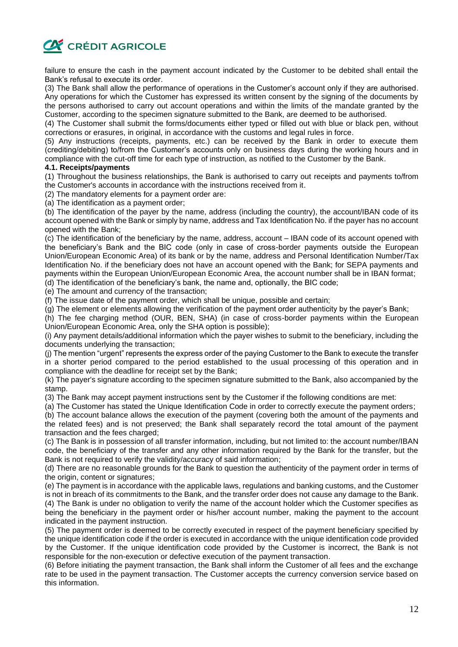

failure to ensure the cash in the payment account indicated by the Customer to be debited shall entail the Bank's refusal to execute its order.

(3) The Bank shall allow the performance of operations in the Customer's account only if they are authorised. Any operations for which the Customer has expressed its written consent by the signing of the documents by the persons authorised to carry out account operations and within the limits of the mandate granted by the Customer, according to the specimen signature submitted to the Bank, are deemed to be authorised.

(4) The Customer shall submit the forms/documents either typed or filled out with blue or black pen, without corrections or erasures, in original, in accordance with the customs and legal rules in force.

(5) Any instructions (receipts, payments, etc.) can be received by the Bank in order to execute them (crediting/debiting) to/from the Customer's accounts only on business days during the working hours and in compliance with the cut-off time for each type of instruction, as notified to the Customer by the Bank.

#### **4.1. Receipts/payments**

(1) Throughout the business relationships, the Bank is authorised to carry out receipts and payments to/from the Customer's accounts in accordance with the instructions received from it.

(2) The mandatory elements for a payment order are:

(a) The identification as a payment order;

(b) The identification of the payer by the name, address (including the country), the account/IBAN code of its account opened with the Bank or simply by name, address and Tax Identification No. if the payer has no account opened with the Bank;

(c) The identification of the beneficiary by the name, address, account – IBAN code of its account opened with the beneficiary's Bank and the BIC code (only in case of cross-border payments outside the European Union/European Economic Area) of its bank or by the name, address and Personal Identification Number/Tax Identification No. if the beneficiary does not have an account opened with the Bank; for SEPA payments and payments within the European Union/European Economic Area, the account number shall be in IBAN format; (d) The identification of the beneficiary's bank, the name and, optionally, the BIC code;

(e) The amount and currency of the transaction;

(f) The issue date of the payment order, which shall be unique, possible and certain;

(g) The element or elements allowing the verification of the payment order authenticity by the payer's Bank;

(h) The fee charging method (OUR, BEN, SHA) (in case of cross-border payments within the European Union/European Economic Area, only the SHA option is possible);

(i) Any payment details/additional information which the payer wishes to submit to the beneficiary, including the documents underlying the transaction;

(j) The mention "urgent" represents the express order of the paying Customer to the Bank to execute the transfer in a shorter period compared to the period established to the usual processing of this operation and in compliance with the deadline for receipt set by the Bank;

(k) The payer's signature according to the specimen signature submitted to the Bank, also accompanied by the stamp.

(3) The Bank may accept payment instructions sent by the Customer if the following conditions are met:

(a) The Customer has stated the Unique Identification Code in order to correctly execute the payment orders;

(b) The account balance allows the execution of the payment (covering both the amount of the payments and the related fees) and is not preserved; the Bank shall separately record the total amount of the payment transaction and the fees charged;

(c) The Bank is in possession of all transfer information, including, but not limited to: the account number/IBAN code, the beneficiary of the transfer and any other information required by the Bank for the transfer, but the Bank is not required to verify the validity/accuracy of said information:

(d) There are no reasonable grounds for the Bank to question the authenticity of the payment order in terms of the origin, content or signatures;

(e) The payment is in accordance with the applicable laws, regulations and banking customs, and the Customer is not in breach of its commitments to the Bank, and the transfer order does not cause any damage to the Bank. (4) The Bank is under no obligation to verify the name of the account holder which the Customer specifies as being the beneficiary in the payment order or his/her account number, making the payment to the account indicated in the payment instruction.

(5) The payment order is deemed to be correctly executed in respect of the payment beneficiary specified by the unique identification code if the order is executed in accordance with the unique identification code provided by the Customer. If the unique identification code provided by the Customer is incorrect, the Bank is not responsible for the non-execution or defective execution of the payment transaction.

(6) Before initiating the payment transaction, the Bank shall inform the Customer of all fees and the exchange rate to be used in the payment transaction. The Customer accepts the currency conversion service based on this information.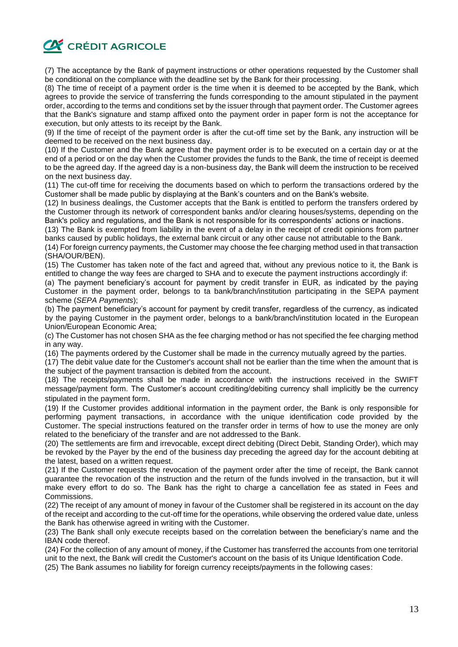# **CA CRÉDIT AGRICOLE**

(7) The acceptance by the Bank of payment instructions or other operations requested by the Customer shall be conditional on the compliance with the deadline set by the Bank for their processing.

(8) The time of receipt of a payment order is the time when it is deemed to be accepted by the Bank, which agrees to provide the service of transferring the funds corresponding to the amount stipulated in the payment order, according to the terms and conditions set by the issuer through that payment order. The Customer agrees that the Bank's signature and stamp affixed onto the payment order in paper form is not the acceptance for execution, but only attests to its receipt by the Bank.

(9) If the time of receipt of the payment order is after the cut-off time set by the Bank, any instruction will be deemed to be received on the next business day.

(10) If the Customer and the Bank agree that the payment order is to be executed on a certain day or at the end of a period or on the day when the Customer provides the funds to the Bank, the time of receipt is deemed to be the agreed day. If the agreed day is a non-business day, the Bank will deem the instruction to be received on the next business day.

(11) The cut-off time for receiving the documents based on which to perform the transactions ordered by the Customer shall be made public by displaying at the Bank's counters and on the Bank's website.

(12) In business dealings, the Customer accepts that the Bank is entitled to perform the transfers ordered by the Customer through its network of correspondent banks and/or clearing houses/systems, depending on the Bank's policy and regulations, and the Bank is not responsible for its correspondents' actions or inactions.

(13) The Bank is exempted from liability in the event of a delay in the receipt of credit opinions from partner banks caused by public holidays, the external bank circuit or any other cause not attributable to the Bank.

(14) For foreign currency payments, the Customer may choose the fee charging method used in that transaction (SHA/OUR/BEN).

(15) The Customer has taken note of the fact and agreed that, without any previous notice to it, the Bank is entitled to change the way fees are charged to SHA and to execute the payment instructions accordingly if:

(a) The payment beneficiary's account for payment by credit transfer in EUR, as indicated by the paying Customer in the payment order, belongs to ta bank/branch/institution participating in the SEPA payment scheme (*SEPA Payments*);

(b) The payment beneficiary's account for payment by credit transfer, regardless of the currency, as indicated by the paying Customer in the payment order, belongs to a bank/branch/institution located in the European Union/European Economic Area;

(c) The Customer has not chosen SHA as the fee charging method or has not specified the fee charging method in any way.

(16) The payments ordered by the Customer shall be made in the currency mutually agreed by the parties.

(17) The debit value date for the Customer's account shall not be earlier than the time when the amount that is the subject of the payment transaction is debited from the account.

(18) The receipts/payments shall be made in accordance with the instructions received in the SWIFT message/payment form. The Customer's account crediting/debiting currency shall implicitly be the currency stipulated in the payment form.

(19) If the Customer provides additional information in the payment order, the Bank is only responsible for performing payment transactions, in accordance with the unique identification code provided by the Customer. The special instructions featured on the transfer order in terms of how to use the money are only related to the beneficiary of the transfer and are not addressed to the Bank.

(20) The settlements are firm and irrevocable, except direct debiting (Direct Debit, Standing Order), which may be revoked by the Payer by the end of the business day preceding the agreed day for the account debiting at the latest, based on a written request.

(21) If the Customer requests the revocation of the payment order after the time of receipt, the Bank cannot guarantee the revocation of the instruction and the return of the funds involved in the transaction, but it will make every effort to do so. The Bank has the right to charge a cancellation fee as stated in Fees and Commissions.

(22) The receipt of any amount of money in favour of the Customer shall be registered in its account on the day of the receipt and according to the cut-off time for the operations, while observing the ordered value date, unless the Bank has otherwise agreed in writing with the Customer.

(23) The Bank shall only execute receipts based on the correlation between the beneficiary's name and the IBAN code thereof.

(24) For the collection of any amount of money, if the Customer has transferred the accounts from one territorial unit to the next, the Bank will credit the Customer's account on the basis of its Unique Identification Code.

(25) The Bank assumes no liability for foreign currency receipts/payments in the following cases: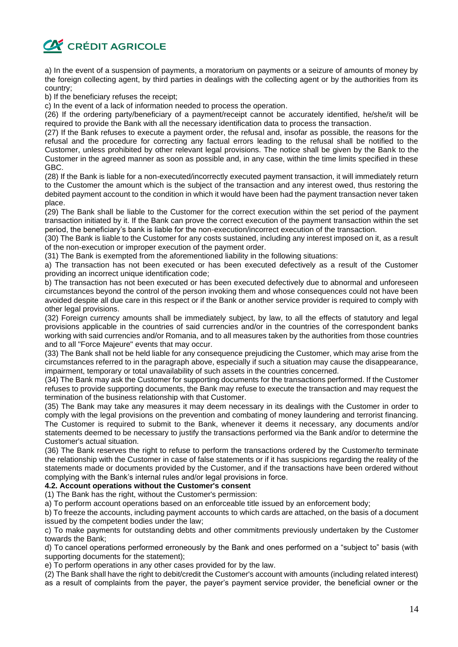

a) In the event of a suspension of payments, a moratorium on payments or a seizure of amounts of money by the foreign collecting agent, by third parties in dealings with the collecting agent or by the authorities from its country;

b) If the beneficiary refuses the receipt;

c) In the event of a lack of information needed to process the operation.

(26) If the ordering party/beneficiary of a payment/receipt cannot be accurately identified, he/she/it will be required to provide the Bank with all the necessary identification data to process the transaction.

(27) If the Bank refuses to execute a payment order, the refusal and, insofar as possible, the reasons for the refusal and the procedure for correcting any factual errors leading to the refusal shall be notified to the Customer, unless prohibited by other relevant legal provisions. The notice shall be given by the Bank to the Customer in the agreed manner as soon as possible and, in any case, within the time limits specified in these GBC.

(28) If the Bank is liable for a non-executed/incorrectly executed payment transaction, it will immediately return to the Customer the amount which is the subject of the transaction and any interest owed, thus restoring the debited payment account to the condition in which it would have been had the payment transaction never taken place.

(29) The Bank shall be liable to the Customer for the correct execution within the set period of the payment transaction initiated by it. If the Bank can prove the correct execution of the payment transaction within the set period, the beneficiary's bank is liable for the non-execution/incorrect execution of the transaction.

(30) The Bank is liable to the Customer for any costs sustained, including any interest imposed on it, as a result of the non-execution or improper execution of the payment order.

(31) The Bank is exempted from the aforementioned liability in the following situations:

a) The transaction has not been executed or has been executed defectively as a result of the Customer providing an incorrect unique identification code;

b) The transaction has not been executed or has been executed defectively due to abnormal and unforeseen circumstances beyond the control of the person invoking them and whose consequences could not have been avoided despite all due care in this respect or if the Bank or another service provider is required to comply with other legal provisions.

(32) Foreign currency amounts shall be immediately subject, by law, to all the effects of statutory and legal provisions applicable in the countries of said currencies and/or in the countries of the correspondent banks working with said currencies and/or Romania, and to all measures taken by the authorities from those countries and to all "Force Majeure" events that may occur.

(33) The Bank shall not be held liable for any consequence prejudicing the Customer, which may arise from the circumstances referred to in the paragraph above, especially if such a situation may cause the disappearance, impairment, temporary or total unavailability of such assets in the countries concerned.

(34) The Bank may ask the Customer for supporting documents for the transactions performed. If the Customer refuses to provide supporting documents, the Bank may refuse to execute the transaction and may request the termination of the business relationship with that Customer.

(35) The Bank may take any measures it may deem necessary in its dealings with the Customer in order to comply with the legal provisions on the prevention and combating of money laundering and terrorist financing. The Customer is required to submit to the Bank, whenever it deems it necessary, any documents and/or statements deemed to be necessary to justify the transactions performed via the Bank and/or to determine the Customer's actual situation.

(36) The Bank reserves the right to refuse to perform the transactions ordered by the Customer/to terminate the relationship with the Customer in case of false statements or if it has suspicions regarding the reality of the statements made or documents provided by the Customer, and if the transactions have been ordered without complying with the Bank's internal rules and/or legal provisions in force.

# **4.2. Account operations without the Customer's consent**

(1) The Bank has the right, without the Customer's permission:

a) To perform account operations based on an enforceable title issued by an enforcement body;

b) To freeze the accounts, including payment accounts to which cards are attached, on the basis of a document issued by the competent bodies under the law;

c) To make payments for outstanding debts and other commitments previously undertaken by the Customer towards the Bank;

d) To cancel operations performed erroneously by the Bank and ones performed on a "subject to" basis (with supporting documents for the statement);

e) To perform operations in any other cases provided for by the law.

(2) The Bank shall have the right to debit/credit the Customer's account with amounts (including related interest) as a result of complaints from the payer, the payer's payment service provider, the beneficial owner or the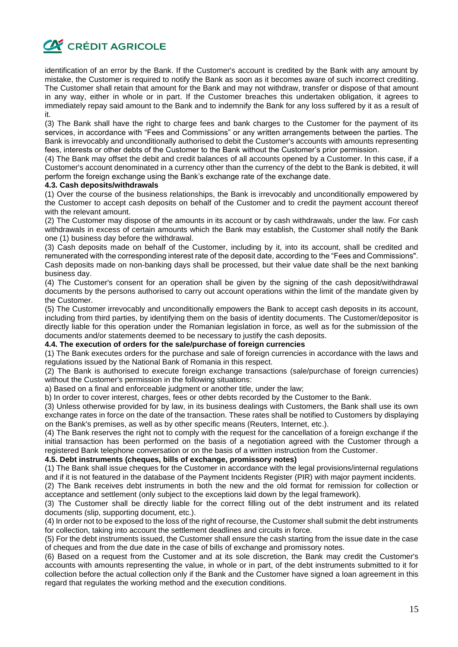**CA CRÉDIT AGRICOLE** 

identification of an error by the Bank. If the Customer's account is credited by the Bank with any amount by mistake, the Customer is required to notify the Bank as soon as it becomes aware of such incorrect crediting. The Customer shall retain that amount for the Bank and may not withdraw, transfer or dispose of that amount in any way, either in whole or in part. If the Customer breaches this undertaken obligation, it agrees to immediately repay said amount to the Bank and to indemnify the Bank for any loss suffered by it as a result of it.

(3) The Bank shall have the right to charge fees and bank charges to the Customer for the payment of its services, in accordance with "Fees and Commissions" or any written arrangements between the parties. The Bank is irrevocably and unconditionally authorised to debit the Customer's accounts with amounts representing fees, interests or other debts of the Customer to the Bank without the Customer's prior permission.

(4) The Bank may offset the debit and credit balances of all accounts opened by a Customer. In this case, if a Customer's account denominated in a currency other than the currency of the debt to the Bank is debited, it will perform the foreign exchange using the Bank's exchange rate of the exchange date.

#### **4.3. Cash deposits/withdrawals**

(1) Over the course of the business relationships, the Bank is irrevocably and unconditionally empowered by the Customer to accept cash deposits on behalf of the Customer and to credit the payment account thereof with the relevant amount.

(2) The Customer may dispose of the amounts in its account or by cash withdrawals, under the law. For cash withdrawals in excess of certain amounts which the Bank may establish, the Customer shall notify the Bank one (1) business day before the withdrawal.

(3) Cash deposits made on behalf of the Customer, including by it, into its account, shall be credited and remunerated with the corresponding interest rate of the deposit date, according to the "Fees and Commissions". Cash deposits made on non-banking days shall be processed, but their value date shall be the next banking business day.

(4) The Customer's consent for an operation shall be given by the signing of the cash deposit/withdrawal documents by the persons authorised to carry out account operations within the limit of the mandate given by the Customer.

(5) The Customer irrevocably and unconditionally empowers the Bank to accept cash deposits in its account, including from third parties, by identifying them on the basis of identity documents. The Customer/depositor is directly liable for this operation under the Romanian legislation in force, as well as for the submission of the documents and/or statements deemed to be necessary to justify the cash deposits.

#### **4.4. The execution of orders for the sale/purchase of foreign currencies**

(1) The Bank executes orders for the purchase and sale of foreign currencies in accordance with the laws and regulations issued by the National Bank of Romania in this respect.

(2) The Bank is authorised to execute foreign exchange transactions (sale/purchase of foreign currencies) without the Customer's permission in the following situations:

a) Based on a final and enforceable judgment or another title, under the law;

b) In order to cover interest, charges, fees or other debts recorded by the Customer to the Bank.

(3) Unless otherwise provided for by law, in its business dealings with Customers, the Bank shall use its own exchange rates in force on the date of the transaction. These rates shall be notified to Customers by displaying on the Bank's premises, as well as by other specific means (Reuters, Internet, etc.).

(4) The Bank reserves the right not to comply with the request for the cancellation of a foreign exchange if the initial transaction has been performed on the basis of a negotiation agreed with the Customer through a registered Bank telephone conversation or on the basis of a written instruction from the Customer.

# **4.5. Debt instruments (cheques, bills of exchange, promissory notes)**

(1) The Bank shall issue cheques for the Customer in accordance with the legal provisions/internal regulations and if it is not featured in the database of the Payment Incidents Register (PIR) with major payment incidents.

(2) The Bank receives debt instruments in both the new and the old format for remission for collection or acceptance and settlement (only subject to the exceptions laid down by the legal framework).

(3) The Customer shall be directly liable for the correct filling out of the debt instrument and its related documents (slip, supporting document, etc.).

(4) In order not to be exposed to the loss of the right of recourse, the Customer shall submit the debt instruments for collection, taking into account the settlement deadlines and circuits in force.

(5) For the debt instruments issued, the Customer shall ensure the cash starting from the issue date in the case of cheques and from the due date in the case of bills of exchange and promissory notes.

(6) Based on a request from the Customer and at its sole discretion, the Bank may credit the Customer's accounts with amounts representing the value, in whole or in part, of the debt instruments submitted to it for collection before the actual collection only if the Bank and the Customer have signed a loan agreement in this regard that regulates the working method and the execution conditions.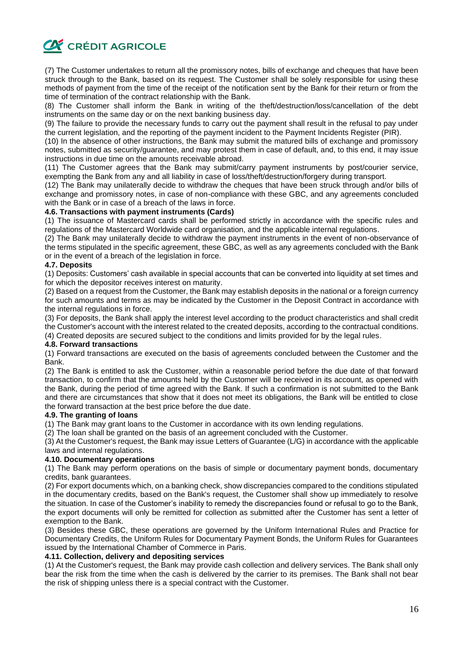

(7) The Customer undertakes to return all the promissory notes, bills of exchange and cheques that have been struck through to the Bank, based on its request. The Customer shall be solely responsible for using these methods of payment from the time of the receipt of the notification sent by the Bank for their return or from the time of termination of the contract relationship with the Bank.

(8) The Customer shall inform the Bank in writing of the theft/destruction/loss/cancellation of the debt instruments on the same day or on the next banking business day.

(9) The failure to provide the necessary funds to carry out the payment shall result in the refusal to pay under the current legislation, and the reporting of the payment incident to the Payment Incidents Register (PIR).

(10) In the absence of other instructions, the Bank may submit the matured bills of exchange and promissory notes, submitted as security/guarantee, and may protest them in case of default, and, to this end, it may issue instructions in due time on the amounts receivable abroad.

(11) The Customer agrees that the Bank may submit/carry payment instruments by post/courier service, exempting the Bank from any and all liability in case of loss/theft/destruction/forgery during transport.

(12) The Bank may unilaterally decide to withdraw the cheques that have been struck through and/or bills of exchange and promissory notes, in case of non-compliance with these GBC, and any agreements concluded with the Bank or in case of a breach of the laws in force.

# **4.6. Transactions with payment instruments (Cards)**

(1) The issuance of Mastercard cards shall be performed strictly in accordance with the specific rules and regulations of the Mastercard Worldwide card organisation, and the applicable internal regulations.

(2) The Bank may unilaterally decide to withdraw the payment instruments in the event of non-observance of the terms stipulated in the specific agreement, these GBC, as well as any agreements concluded with the Bank or in the event of a breach of the legislation in force.

# **4.7. Deposits**

(1) Deposits: Customers' cash available in special accounts that can be converted into liquidity at set times and for which the depositor receives interest on maturity.

(2) Based on a request from the Customer, the Bank may establish deposits in the national or a foreign currency for such amounts and terms as may be indicated by the Customer in the Deposit Contract in accordance with the internal regulations in force.

(3) For deposits, the Bank shall apply the interest level according to the product characteristics and shall credit the Customer's account with the interest related to the created deposits, according to the contractual conditions.

# (4) Created deposits are secured subject to the conditions and limits provided for by the legal rules.

#### **4.8. Forward transactions**

(1) Forward transactions are executed on the basis of agreements concluded between the Customer and the Bank.

(2) The Bank is entitled to ask the Customer, within a reasonable period before the due date of that forward transaction, to confirm that the amounts held by the Customer will be received in its account, as opened with the Bank, during the period of time agreed with the Bank. If such a confirmation is not submitted to the Bank and there are circumstances that show that it does not meet its obligations, the Bank will be entitled to close the forward transaction at the best price before the due date.

#### **4.9. The granting of loans**

(1) The Bank may grant loans to the Customer in accordance with its own lending regulations.

(2) The loan shall be granted on the basis of an agreement concluded with the Customer.

(3) At the Customer's request, the Bank may issue Letters of Guarantee (L/G) in accordance with the applicable laws and internal regulations.

#### **4.10. Documentary operations**

(1) The Bank may perform operations on the basis of simple or documentary payment bonds, documentary credits, bank guarantees.

(2) For export documents which, on a banking check, show discrepancies compared to the conditions stipulated in the documentary credits, based on the Bank's request, the Customer shall show up immediately to resolve the situation. In case of the Customer's inability to remedy the discrepancies found or refusal to go to the Bank, the export documents will only be remitted for collection as submitted after the Customer has sent a letter of exemption to the Bank.

(3) Besides these GBC, these operations are governed by the Uniform International Rules and Practice for Documentary Credits, the Uniform Rules for Documentary Payment Bonds, the Uniform Rules for Guarantees issued by the International Chamber of Commerce in Paris.

# **4.11. Collection, delivery and depositing services**

(1) At the Customer's request, the Bank may provide cash collection and delivery services. The Bank shall only bear the risk from the time when the cash is delivered by the carrier to its premises. The Bank shall not bear the risk of shipping unless there is a special contract with the Customer.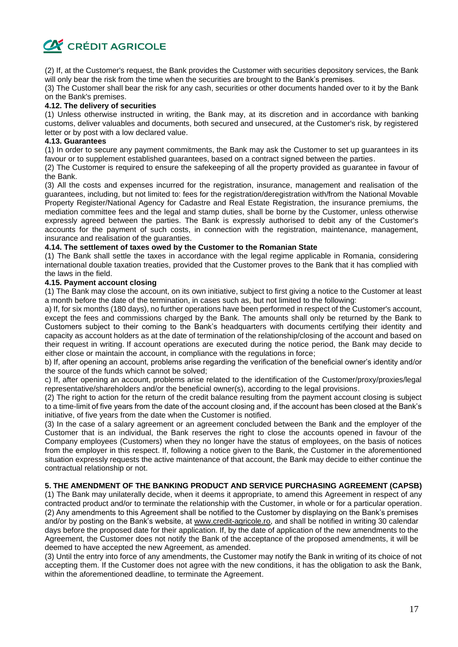

(2) If, at the Customer's request, the Bank provides the Customer with securities depository services, the Bank will only bear the risk from the time when the securities are brought to the Bank's premises.

(3) The Customer shall bear the risk for any cash, securities or other documents handed over to it by the Bank on the Bank's premises.

#### **4.12. The delivery of securities**

(1) Unless otherwise instructed in writing, the Bank may, at its discretion and in accordance with banking customs, deliver valuables and documents, both secured and unsecured, at the Customer's risk, by registered letter or by post with a low declared value.

#### **4.13. Guarantees**

(1) In order to secure any payment commitments, the Bank may ask the Customer to set up guarantees in its favour or to supplement established quarantees, based on a contract signed between the parties.

(2) The Customer is required to ensure the safekeeping of all the property provided as guarantee in favour of the Bank.

(3) All the costs and expenses incurred for the registration, insurance, management and realisation of the guarantees, including, but not limited to: fees for the registration/deregistration with/from the National Movable Property Register/National Agency for Cadastre and Real Estate Registration, the insurance premiums, the mediation committee fees and the legal and stamp duties, shall be borne by the Customer, unless otherwise expressly agreed between the parties. The Bank is expressly authorised to debit any of the Customer's accounts for the payment of such costs, in connection with the registration, maintenance, management, insurance and realisation of the guaranties.

# **4.14. The settlement of taxes owed by the Customer to the Romanian State**

(1) The Bank shall settle the taxes in accordance with the legal regime applicable in Romania, considering international double taxation treaties, provided that the Customer proves to the Bank that it has complied with the laws in the field.

#### **4.15. Payment account closing**

(1) The Bank may close the account, on its own initiative, subject to first giving a notice to the Customer at least a month before the date of the termination, in cases such as, but not limited to the following:

a) If, for six months (180 days), no further operations have been performed in respect of the Customer's account, except the fees and commissions charged by the Bank. The amounts shall only be returned by the Bank to Customers subject to their coming to the Bank's headquarters with documents certifying their identity and capacity as account holders as at the date of termination of the relationship/closing of the account and based on their request in writing. If account operations are executed during the notice period, the Bank may decide to either close or maintain the account, in compliance with the regulations in force;

b) If, after opening an account, problems arise regarding the verification of the beneficial owner's identity and/or the source of the funds which cannot be solved;

c) If, after opening an account, problems arise related to the identification of the Customer/proxy/proxies/legal representative/shareholders and/or the beneficial owner(s), according to the legal provisions.

(2) The right to action for the return of the credit balance resulting from the payment account closing is subject to a time-limit of five years from the date of the account closing and, if the account has been closed at the Bank's initiative, of five years from the date when the Customer is notified.

(3) In the case of a salary agreement or an agreement concluded between the Bank and the employer of the Customer that is an individual, the Bank reserves the right to close the accounts opened in favour of the Company employees (Customers) when they no longer have the status of employees, on the basis of notices from the employer in this respect. If, following a notice given to the Bank, the Customer in the aforementioned situation expressly requests the active maintenance of that account, the Bank may decide to either continue the contractual relationship or not.

#### **5. THE AMENDMENT OF THE BANKING PRODUCT AND SERVICE PURCHASING AGREEMENT (CAPSB)**

(1) The Bank may unilaterally decide, when it deems it appropriate, to amend this Agreement in respect of any contracted product and/or to terminate the relationship with the Customer, in whole or for a particular operation. (2) Any amendments to this Agreement shall be notified to the Customer by displaying on the Bank's premises and/or by posting on the Bank's website, at www.credit-agricole.ro, and shall be notified in writing 30 calendar days before the proposed date for their application. If, by the date of application of the new amendments to the Agreement, the Customer does not notify the Bank of the acceptance of the proposed amendments, it will be deemed to have accepted the new Agreement, as amended.

(3) Until the entry into force of any amendments, the Customer may notify the Bank in writing of its choice of not accepting them. If the Customer does not agree with the new conditions, it has the obligation to ask the Bank, within the aforementioned deadline, to terminate the Agreement.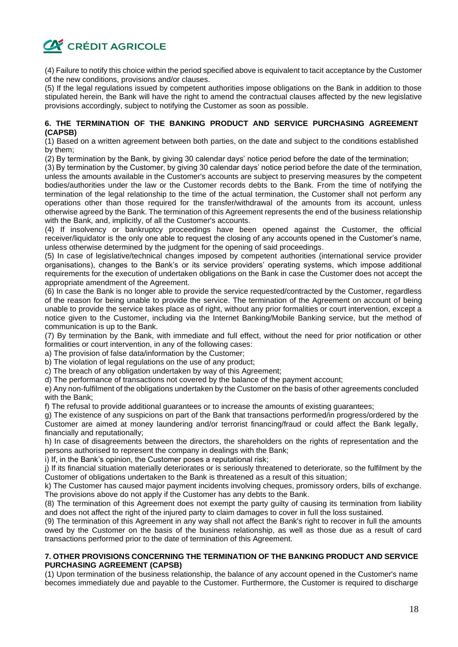

(4) Failure to notify this choice within the period specified above is equivalent to tacit acceptance by the Customer of the new conditions, provisions and/or clauses.

(5) If the legal regulations issued by competent authorities impose obligations on the Bank in addition to those stipulated herein, the Bank will have the right to amend the contractual clauses affected by the new legislative provisions accordingly, subject to notifying the Customer as soon as possible.

# **6. THE TERMINATION OF THE BANKING PRODUCT AND SERVICE PURCHASING AGREEMENT (CAPSB)**

(1) Based on a written agreement between both parties, on the date and subject to the conditions established by them;

(2) By termination by the Bank, by giving 30 calendar days' notice period before the date of the termination;

(3) By termination by the Customer, by giving 30 calendar days' notice period before the date of the termination, unless the amounts available in the Customer's accounts are subject to preserving measures by the competent bodies/authorities under the law or the Customer records debts to the Bank. From the time of notifying the termination of the legal relationship to the time of the actual termination, the Customer shall not perform any operations other than those required for the transfer/withdrawal of the amounts from its account, unless otherwise agreed by the Bank. The termination of this Agreement represents the end of the business relationship with the Bank, and, implicitly, of all the Customer's accounts.

(4) If insolvency or bankruptcy proceedings have been opened against the Customer, the official receiver/liquidator is the only one able to request the closing of any accounts opened in the Customer's name, unless otherwise determined by the judgment for the opening of said proceedings.

(5) In case of legislative/technical changes imposed by competent authorities (international service provider organisations), changes to the Bank's or its service providers' operating systems, which impose additional requirements for the execution of undertaken obligations on the Bank in case the Customer does not accept the appropriate amendment of the Agreement.

(6) In case the Bank is no longer able to provide the service requested/contracted by the Customer, regardless of the reason for being unable to provide the service. The termination of the Agreement on account of being unable to provide the service takes place as of right, without any prior formalities or court intervention, except a notice given to the Customer, including via the Internet Banking/Mobile Banking service, but the method of communication is up to the Bank.

(7) By termination by the Bank, with immediate and full effect, without the need for prior notification or other formalities or court intervention, in any of the following cases:

a) The provision of false data/information by the Customer;

b) The violation of legal regulations on the use of any product;

c) The breach of any obligation undertaken by way of this Agreement;

d) The performance of transactions not covered by the balance of the payment account;

e) Any non-fulfilment of the obligations undertaken by the Customer on the basis of other agreements concluded with the Bank;

f) The refusal to provide additional guarantees or to increase the amounts of existing guarantees;

g) The existence of any suspicions on part of the Bank that transactions performed/in progress/ordered by the Customer are aimed at money laundering and/or terrorist financing/fraud or could affect the Bank legally, financially and reputationally;

h) In case of disagreements between the directors, the shareholders on the rights of representation and the persons authorised to represent the company in dealings with the Bank;

i) If, in the Bank's opinion, the Customer poses a reputational risk;

j) If its financial situation materially deteriorates or is seriously threatened to deteriorate, so the fulfilment by the Customer of obligations undertaken to the Bank is threatened as a result of this situation;

k) The Customer has caused major payment incidents involving cheques, promissory orders, bills of exchange. The provisions above do not apply if the Customer has any debts to the Bank.

(8) The termination of this Agreement does not exempt the party guilty of causing its termination from liability and does not affect the right of the injured party to claim damages to cover in full the loss sustained.

(9) The termination of this Agreement in any way shall not affect the Bank's right to recover in full the amounts owed by the Customer on the basis of the business relationship, as well as those due as a result of card transactions performed prior to the date of termination of this Agreement.

#### **7. OTHER PROVISIONS CONCERNING THE TERMINATION OF THE BANKING PRODUCT AND SERVICE PURCHASING AGREEMENT (CAPSB)**

(1) Upon termination of the business relationship, the balance of any account opened in the Customer's name becomes immediately due and payable to the Customer. Furthermore, the Customer is required to discharge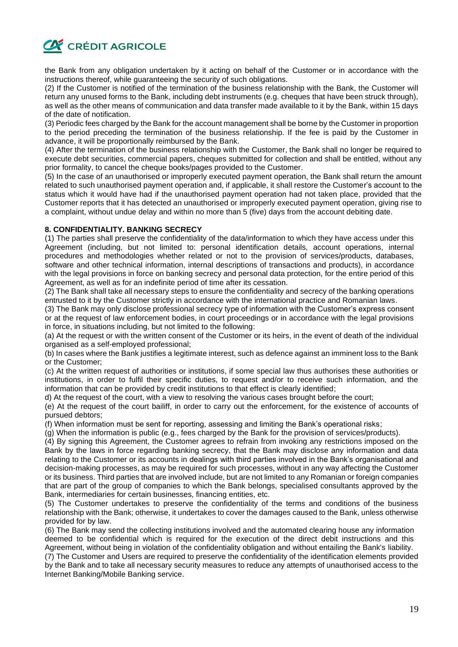

the Bank from any obligation undertaken by it acting on behalf of the Customer or in accordance with the instructions thereof, while guaranteeing the security of such obligations.

(2) If the Customer is notified of the termination of the business relationship with the Bank, the Customer will return any unused forms to the Bank, including debt instruments (e.g. cheques that have been struck through), as well as the other means of communication and data transfer made available to it by the Bank, within 15 days of the date of notification.

(3) Periodic fees charged by the Bank for the account management shall be borne by the Customer in proportion to the period preceding the termination of the business relationship. If the fee is paid by the Customer in advance, it will be proportionally reimbursed by the Bank.

(4) After the termination of the business relationship with the Customer, the Bank shall no longer be required to execute debt securities, commercial papers, cheques submitted for collection and shall be entitled, without any prior formality, to cancel the cheque books/pages provided to the Customer.

(5) In the case of an unauthorised or improperly executed payment operation, the Bank shall return the amount related to such unauthorised payment operation and, if applicable, it shall restore the Customer's account to the status which it would have had if the unauthorised payment operation had not taken place, provided that the Customer reports that it has detected an unauthorised or improperly executed payment operation, giving rise to a complaint, without undue delay and within no more than 5 (five) days from the account debiting date.

# **8. CONFIDENTIALITY. BANKING SECRECY**

(1) The parties shall preserve the confidentiality of the data/information to which they have access under this Agreement (including, but not limited to: personal identification details, account operations, internal procedures and methodologies whether related or not to the provision of services/products, databases, software and other technical information, internal descriptions of transactions and products), in accordance with the legal provisions in force on banking secrecy and personal data protection, for the entire period of this Agreement, as well as for an indefinite period of time after its cessation.

(2) The Bank shall take all necessary steps to ensure the confidentiality and secrecy of the banking operations entrusted to it by the Customer strictly in accordance with the international practice and Romanian laws.

(3) The Bank may only disclose professional secrecy type of information with the Customer's express consent or at the request of law enforcement bodies, in court proceedings or in accordance with the legal provisions in force, in situations including, but not limited to the following:

(a) At the request or with the written consent of the Customer or its heirs, in the event of death of the individual organised as a self-employed professional;

(b) In cases where the Bank justifies a legitimate interest, such as defence against an imminent loss to the Bank or the Customer;

(c) At the written request of authorities or institutions, if some special law thus authorises these authorities or institutions, in order to fulfil their specific duties, to request and/or to receive such information, and the information that can be provided by credit institutions to that effect is clearly identified;

d) At the request of the court, with a view to resolving the various cases brought before the court;

(e) At the request of the court bailiff, in order to carry out the enforcement, for the existence of accounts of pursued debtors;

(f) When information must be sent for reporting, assessing and limiting the Bank's operational risks;

(g) When the information is public (e.g., fees charged by the Bank for the provision of services/products).

(4) By signing this Agreement, the Customer agrees to refrain from invoking any restrictions imposed on the Bank by the laws in force regarding banking secrecy, that the Bank may disclose any information and data relating to the Customer or its accounts in dealings with third parties involved in the Bank's organisational and decision-making processes, as may be required for such processes, without in any way affecting the Customer or its business. Third parties that are involved include, but are not limited to any Romanian or foreign companies that are part of the group of companies to which the Bank belongs, specialised consultants approved by the Bank, intermediaries for certain businesses, financing entities, etc.

(5) The Customer undertakes to preserve the confidentiality of the terms and conditions of the business relationship with the Bank; otherwise, it undertakes to cover the damages caused to the Bank, unless otherwise provided for by law.

(6) The Bank may send the collecting institutions involved and the automated clearing house any information deemed to be confidential which is required for the execution of the direct debit instructions and this Agreement, without being in violation of the confidentiality obligation and without entailing the Bank's liability.

(7) The Customer and Users are required to preserve the confidentiality of the identification elements provided by the Bank and to take all necessary security measures to reduce any attempts of unauthorised access to the Internet Banking/Mobile Banking service.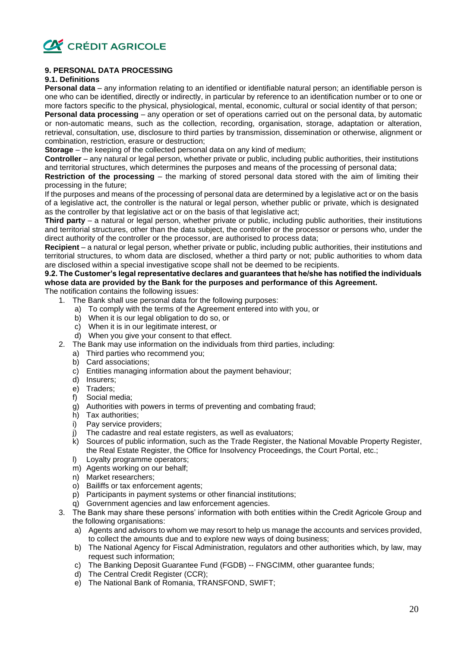

# **9. PERSONAL DATA PROCESSING**

# **9.1. Definitions**

**Personal data** – any information relating to an identified or identifiable natural person; an identifiable person is one who can be identified, directly or indirectly, in particular by reference to an identification number or to one or more factors specific to the physical, physiological, mental, economic, cultural or social identity of that person;

**Personal data processing** – any operation or set of operations carried out on the personal data, by automatic or non-automatic means, such as the collection, recording, organisation, storage, adaptation or alteration, retrieval, consultation, use, disclosure to third parties by transmission, dissemination or otherwise, alignment or combination, restriction, erasure or destruction;

**Storage** – the keeping of the collected personal data on any kind of medium;

**Controller** – any natural or legal person, whether private or public, including public authorities, their institutions and territorial structures, which determines the purposes and means of the processing of personal data;

**Restriction of the processing** – the marking of stored personal data stored with the aim of limiting their processing in the future;

If the purposes and means of the processing of personal data are determined by a legislative act or on the basis of a legislative act, the controller is the natural or legal person, whether public or private, which is designated as the controller by that legislative act or on the basis of that legislative act;

**Third party** – a natural or legal person, whether private or public, including public authorities, their institutions and territorial structures, other than the data subject, the controller or the processor or persons who, under the direct authority of the controller or the processor, are authorised to process data;

**Recipient** – a natural or legal person, whether private or public, including public authorities, their institutions and territorial structures, to whom data are disclosed, whether a third party or not; public authorities to whom data are disclosed within a special investigative scope shall not be deemed to be recipients.

# **9.2. The Customer's legal representative declares and guarantees that he/she has notified the individuals whose data are provided by the Bank for the purposes and performance of this Agreement.**

The notification contains the following issues:

- 1. The Bank shall use personal data for the following purposes:
	- a) To comply with the terms of the Agreement entered into with you, or
	- b) When it is our legal obligation to do so, or
	- c) When it is in our legitimate interest, or
	- d) When you give your consent to that effect.
- 2. The Bank may use information on the individuals from third parties, including:
	- a) Third parties who recommend you;
	- b) Card associations;
	- c) Entities managing information about the payment behaviour;
	- d) Insurers;
	- e) Traders;
	- f) Social media;
	- g) Authorities with powers in terms of preventing and combating fraud;
	- h) Tax authorities;
	- i) Pay service providers;
	- j) The cadastre and real estate registers, as well as evaluators;
	- k) Sources of public information, such as the Trade Register, the National Movable Property Register, the Real Estate Register, the Office for Insolvency Proceedings, the Court Portal, etc.;
	- l) Loyalty programme operators;
	- m) Agents working on our behalf;
	- n) Market researchers;
	- o) Bailiffs or tax enforcement agents;
	- p) Participants in payment systems or other financial institutions;
	- q) Government agencies and law enforcement agencies.
- 3. The Bank may share these persons' information with both entities within the Credit Agricole Group and the following organisations:
	- a) Agents and advisors to whom we may resort to help us manage the accounts and services provided, to collect the amounts due and to explore new ways of doing business;
	- b) The National Agency for Fiscal Administration, regulators and other authorities which, by law, may request such information;
	- c) The Banking Deposit Guarantee Fund (FGDB) -- FNGCIMM, other guarantee funds;
	- d) The Central Credit Register (CCR);
	- e) The National Bank of Romania, TRANSFOND, SWIFT;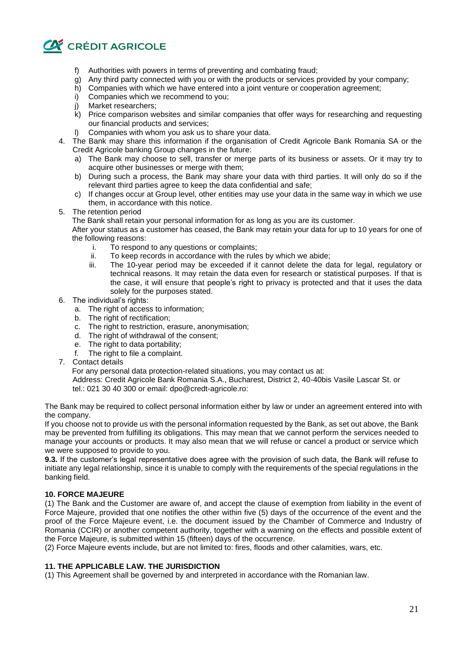

- f) Authorities with powers in terms of preventing and combating fraud;
- g) Any third party connected with you or with the products or services provided by your company;
- h) Companies with which we have entered into a joint venture or cooperation agreement;
- i) Companies which we recommend to you;
- j) Market researchers;
- k) Price comparison websites and similar companies that offer ways for researching and requesting our financial products and services;
- l) Companies with whom you ask us to share your data.
- 4. The Bank may share this information if the organisation of Credit Agricole Bank Romania SA or the Credit Agricole banking Group changes in the future:
	- a) The Bank may choose to sell, transfer or merge parts of its business or assets. Or it may try to acquire other businesses or merge with them;
	- b) During such a process, the Bank may share your data with third parties. It will only do so if the relevant third parties agree to keep the data confidential and safe;
	- c) If changes occur at Group level, other entities may use your data in the same way in which we use them, in accordance with this notice.
- 5. The retention period

The Bank shall retain your personal information for as long as you are its customer.

After your status as a customer has ceased, the Bank may retain your data for up to 10 years for one of the following reasons:

- i. To respond to any questions or complaints;
- ii. To keep records in accordance with the rules by which we abide;
- iii. The 10-year period may be exceeded if it cannot delete the data for legal, regulatory or technical reasons. It may retain the data even for research or statistical purposes. If that is the case, it will ensure that people's right to privacy is protected and that it uses the data solely for the purposes stated.
- 6. The individual's rights:
	- a. The right of access to information;
	- b. The right of rectification;
	- c. The right to restriction, erasure, anonymisation;
	- d. The right of withdrawal of the consent;
	- e. The right to data portability;
	- f. The right to file a complaint.
- 7. Contact details

For any personal data protection-related situations, you may contact us at:

Address: Credit Agricole Bank Romania S.A., Bucharest, District 2, 40-40bis Vasile Lascar St. or tel.: 021 30 40 300 or email: dpo@credt-agricole.ro:

The Bank may be required to collect personal information either by law or under an agreement entered into with the company.

If you choose not to provide us with the personal information requested by the Bank, as set out above, the Bank may be prevented from fulfilling its obligations. This may mean that we cannot perform the services needed to manage your accounts or products. It may also mean that we will refuse or cancel a product or service which we were supposed to provide to you.

**9.3.** If the customer's legal representative does agree with the provision of such data, the Bank will refuse to initiate any legal relationship, since it is unable to comply with the requirements of the special regulations in the banking field.

# **10. FORCE MAJEURE**

(1) The Bank and the Customer are aware of, and accept the clause of exemption from liability in the event of Force Majeure, provided that one notifies the other within five (5) days of the occurrence of the event and the proof of the Force Majeure event, i.e. the document issued by the Chamber of Commerce and Industry of Romania (CCIR) or another competent authority, together with a warning on the effects and possible extent of the Force Majeure, is submitted within 15 (fifteen) days of the occurrence.

(2) Force Majeure events include, but are not limited to: fires, floods and other calamities, wars, etc.

# **11. THE APPLICABLE LAW. THE JURISDICTION**

(1) This Agreement shall be governed by and interpreted in accordance with the Romanian law.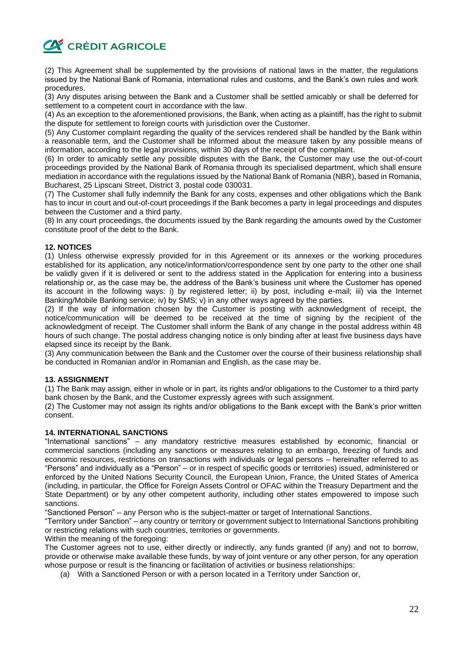

(2) This Agreement shall be supplemented by the provisions of national laws in the matter, the regulations issued by the National Bank of Romania, international rules and customs, and the Bank's own rules and work procedures.

(3) Any disputes arising between the Bank and a Customer shall be settled amicably or shall be deferred for settlement to a competent court in accordance with the law.

(4) As an exception to the aforementioned provisions, the Bank, when acting as a plaintiff, has the right to submit the dispute for settlement to foreign courts with jurisdiction over the Customer.

(5) Any Customer complaint regarding the quality of the services rendered shall be handled by the Bank within a reasonable term, and the Customer shall be informed about the measure taken by any possible means of information, according to the legal provisions, within 30 days of the receipt of the complaint.

(6) In order to amicably settle any possible disputes with the Bank, the Customer may use the out-of-court proceedings provided by the National Bank of Romania through its specialised department, which shall ensure mediation in accordance with the regulations issued by the National Bank of Romania (NBR), based in Romania, Bucharest, 25 Lipscani Street, District 3, postal code 030031.

(7) The Customer shall fully indemnify the Bank for any costs, expenses and other obligations which the Bank has to incur in court and out-of-court proceedings if the Bank becomes a party in legal proceedings and disputes between the Customer and a third party.

(8) In any court proceedings, the documents issued by the Bank regarding the amounts owed by the Customer constitute proof of the debt to the Bank.

# **12. NOTICES**

(1) Unless otherwise expressly provided for in this Agreement or its annexes or the working procedures established for its application, any notice/information/correspondence sent by one party to the other one shall be validly given if it is delivered or sent to the address stated in the Application for entering into a business relationship or, as the case may be, the address of the Bank's business unit where the Customer has opened its account in the following ways: i) by registered letter; ii) by post, including e-mail; iii) via the Internet Banking/Mobile Banking service; iv) by SMS; v) in any other ways agreed by the parties.

(2) If the way of information chosen by the Customer is posting with acknowledgment of receipt, the notice/communication will be deemed to be received at the time of signing by the recipient of the acknowledgment of receipt. The Customer shall inform the Bank of any change in the postal address within 48 hours of such change. The postal address changing notice is only binding after at least five business days have elapsed since its receipt by the Bank.

(3) Any communication between the Bank and the Customer over the course of their business relationship shall be conducted in Romanian and/or in Romanian and English, as the case may be.

#### **13. ASSIGNMENT**

(1) The Bank may assign, either in whole or in part, its rights and/or obligations to the Customer to a third party bank chosen by the Bank, and the Customer expressly agrees with such assignment.

(2) The Customer may not assign its rights and/or obligations to the Bank except with the Bank's prior written consent.

#### **14. INTERNATIONAL SANCTIONS**

"International sanctions" – any mandatory restrictive measures established by economic, financial or commercial sanctions (including any sanctions or measures relating to an embargo, freezing of funds and economic resources, restrictions on transactions with individuals or legal persons – hereinafter referred to as "Persons" and individually as a "Person" – or in respect of specific goods or territories) issued, administered or enforced by the United Nations Security Council, the European Union, France, the United States of America (including, in particular, the Office for Foreign Assets Control or OFAC within the Treasury Department and the State Department) or by any other competent authority, including other states empowered to impose such sanctions.

"Sanctioned Person" – any Person who is the subject-matter or target of International Sanctions.

"Territory under Sanction" – any country or territory or government subject to International Sanctions prohibiting or restricting relations with such countries, territories or governments.

Within the meaning of the foregoing:

The Customer agrees not to use, either directly or indirectly, any funds granted (if any) and not to borrow, provide or otherwise make available these funds, by way of joint venture or any other person, for any operation whose purpose or result is the financing or facilitation of activities or business relationships:

(a) With a Sanctioned Person or with a person located in a Territory under Sanction or,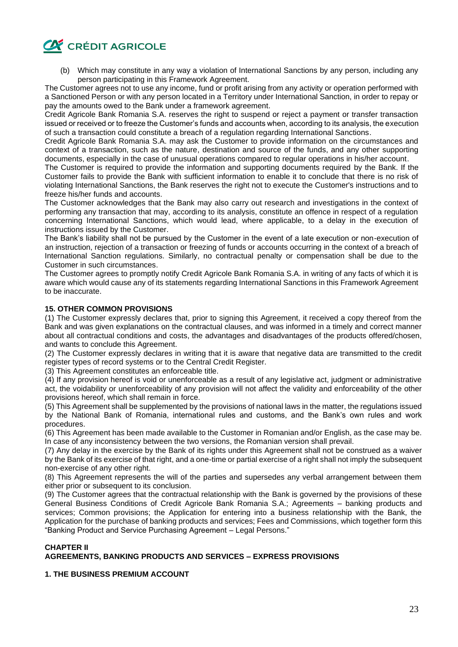

(b) Which may constitute in any way a violation of International Sanctions by any person, including any person participating in this Framework Agreement.

The Customer agrees not to use any income, fund or profit arising from any activity or operation performed with a Sanctioned Person or with any person located in a Territory under International Sanction, in order to repay or pay the amounts owed to the Bank under a framework agreement.

Credit Agricole Bank Romania S.A. reserves the right to suspend or reject a payment or transfer transaction issued or received or to freeze the Customer's funds and accounts when, according to its analysis, the execution of such a transaction could constitute a breach of a regulation regarding International Sanctions.

Credit Agricole Bank Romania S.A. may ask the Customer to provide information on the circumstances and context of a transaction, such as the nature, destination and source of the funds, and any other supporting documents, especially in the case of unusual operations compared to regular operations in his/her account.

The Customer is required to provide the information and supporting documents required by the Bank. If the Customer fails to provide the Bank with sufficient information to enable it to conclude that there is no risk of violating International Sanctions, the Bank reserves the right not to execute the Customer's instructions and to freeze his/her funds and accounts.

The Customer acknowledges that the Bank may also carry out research and investigations in the context of performing any transaction that may, according to its analysis, constitute an offence in respect of a regulation concerning International Sanctions, which would lead, where applicable, to a delay in the execution of instructions issued by the Customer.

The Bank's liability shall not be pursued by the Customer in the event of a late execution or non-execution of an instruction, rejection of a transaction or freezing of funds or accounts occurring in the context of a breach of International Sanction regulations. Similarly, no contractual penalty or compensation shall be due to the Customer in such circumstances.

The Customer agrees to promptly notify Credit Agricole Bank Romania S.A. in writing of any facts of which it is aware which would cause any of its statements regarding International Sanctions in this Framework Agreement to be inaccurate.

# **15. OTHER COMMON PROVISIONS**

(1) The Customer expressly declares that, prior to signing this Agreement, it received a copy thereof from the Bank and was given explanations on the contractual clauses, and was informed in a timely and correct manner about all contractual conditions and costs, the advantages and disadvantages of the products offered/chosen, and wants to conclude this Agreement.

(2) The Customer expressly declares in writing that it is aware that negative data are transmitted to the credit register types of record systems or to the Central Credit Register.

(3) This Agreement constitutes an enforceable title.

(4) If any provision hereof is void or unenforceable as a result of any legislative act, judgment or administrative act, the voidability or unenforceability of any provision will not affect the validity and enforceability of the other provisions hereof, which shall remain in force.

(5) This Agreement shall be supplemented by the provisions of national laws in the matter, the regulations issued by the National Bank of Romania, international rules and customs, and the Bank's own rules and work procedures.

(6) This Agreement has been made available to the Customer in Romanian and/or English, as the case may be. In case of any inconsistency between the two versions, the Romanian version shall prevail.

(7) Any delay in the exercise by the Bank of its rights under this Agreement shall not be construed as a waiver by the Bank of its exercise of that right, and a one-time or partial exercise of a right shall not imply the subsequent non-exercise of any other right.

(8) This Agreement represents the will of the parties and supersedes any verbal arrangement between them either prior or subsequent to its conclusion.

(9) The Customer agrees that the contractual relationship with the Bank is governed by the provisions of these General Business Conditions of Credit Agricole Bank Romania S.A.; Agreements – banking products and services; Common provisions; the Application for entering into a business relationship with the Bank, the Application for the purchase of banking products and services; Fees and Commissions, which together form this "Banking Product and Service Purchasing Agreement – Legal Persons."

# **CHAPTER II AGREEMENTS, BANKING PRODUCTS AND SERVICES – EXPRESS PROVISIONS**

# **1. THE BUSINESS PREMIUM ACCOUNT**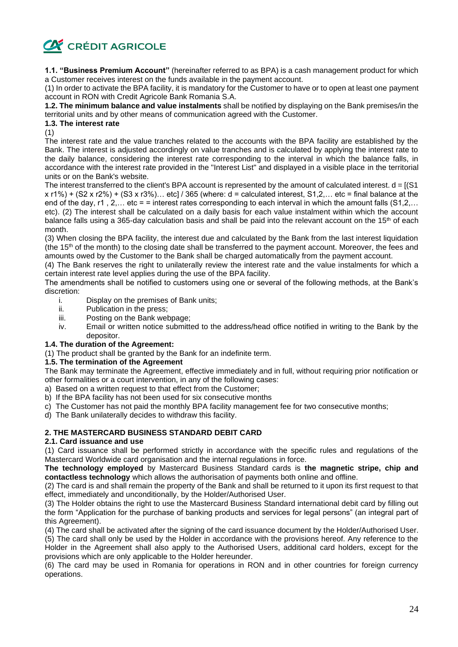

**1.1. "Business Premium Account"** (hereinafter referred to as BPA) is a cash management product for which a Customer receives interest on the funds available in the payment account.

(1) In order to activate the BPA facility, it is mandatory for the Customer to have or to open at least one payment account in RON with Credit Agricole Bank Romania S.A.

**1.2. The minimum balance and value instalments** shall be notified by displaying on the Bank premises/in the territorial units and by other means of communication agreed with the Customer.

# **1.3. The interest rate**

(1)

The interest rate and the value tranches related to the accounts with the BPA facility are established by the Bank. The interest is adjusted accordingly on value tranches and is calculated by applying the interest rate to the daily balance, considering the interest rate corresponding to the interval in which the balance falls, in accordance with the interest rate provided in the "Interest List" and displayed in a visible place in the territorial units or on the Bank's website.

The interest transferred to the client's BPA account is represented by the amount of calculated interest.  $d = [(S1$  $x$  r1%) + (S2 x r2%) + (S3 x r3%)... etc] / 365 (where: d = calculated interest, S1,2,... etc = final balance at the end of the day, r1, 2,... etc = = interest rates corresponding to each interval in which the amount falls  $(51,2,...)$ etc). (2) The interest shall be calculated on a daily basis for each value instalment within which the account balance falls using a 365-day calculation basis and shall be paid into the relevant account on the 15<sup>th</sup> of each month.

(3) When closing the BPA facility, the interest due and calculated by the Bank from the last interest liquidation (the 15<sup>th</sup> of the month) to the closing date shall be transferred to the payment account. Moreover, the fees and amounts owed by the Customer to the Bank shall be charged automatically from the payment account.

(4) The Bank reserves the right to unilaterally review the interest rate and the value instalments for which a certain interest rate level applies during the use of the BPA facility.

The amendments shall be notified to customers using one or several of the following methods, at the Bank's discretion:

- i. Display on the premises of Bank units;
- ii. Publication in the press;
- iii. Posting on the Bank webpage;
- iv. Email or written notice submitted to the address/head office notified in writing to the Bank by the depositor.

# **1.4. The duration of the Agreement:**

(1) The product shall be granted by the Bank for an indefinite term.

# **1.5. The termination of the Agreement**

The Bank may terminate the Agreement, effective immediately and in full, without requiring prior notification or other formalities or a court intervention, in any of the following cases:

- a) Based on a written request to that effect from the Customer;
- b) If the BPA facility has not been used for six consecutive months
- c) The Customer has not paid the monthly BPA facility management fee for two consecutive months;

d) The Bank unilaterally decides to withdraw this facility.

# **2. THE MASTERCARD BUSINESS STANDARD DEBIT CARD**

# **2.1. Card issuance and use**

(1) Card issuance shall be performed strictly in accordance with the specific rules and regulations of the Mastercard Worldwide card organisation and the internal regulations in force.

**The technology employed** by Mastercard Business Standard cards is **the magnetic stripe, chip and contactless technology** which allows the authorisation of payments both online and offline.

(2) The card is and shall remain the property of the Bank and shall be returned to it upon its first request to that effect, immediately and unconditionally, by the Holder/Authorised User.

(3) The Holder obtains the right to use the Mastercard Business Standard international debit card by filling out the form "Application for the purchase of banking products and services for legal persons" (an integral part of this Agreement).

(4) The card shall be activated after the signing of the card issuance document by the Holder/Authorised User. (5) The card shall only be used by the Holder in accordance with the provisions hereof. Any reference to the Holder in the Agreement shall also apply to the Authorised Users, additional card holders, except for the provisions which are only applicable to the Holder hereunder.

(6) The card may be used in Romania for operations in RON and in other countries for foreign currency operations.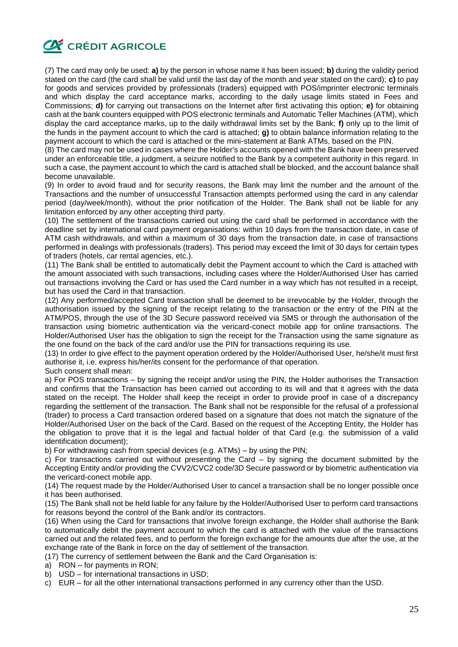

(7) The card may only be used: **a)** by the person in whose name it has been issued; **b)** during the validity period stated on the card (the card shall be valid until the last day of the month and year stated on the card); **c)** to pay for goods and services provided by professionals (traders) equipped with POS/imprinter electronic terminals and which display the card acceptance marks, according to the daily usage limits stated in Fees and Commissions; **d)** for carrying out transactions on the Internet after first activating this option; **e)** for obtaining cash at the bank counters equipped with POS electronic terminals and Automatic Teller Machines (ATM), which display the card acceptance marks, up to the daily withdrawal limits set by the Bank; **f)** only up to the limit of the funds in the payment account to which the card is attached; **g)** to obtain balance information relating to the payment account to which the card is attached or the mini-statement at Bank ATMs, based on the PIN.

(8) The card may not be used in cases where the Holder's accounts opened with the Bank have been preserved under an enforceable title, a judgment, a seizure notified to the Bank by a competent authority in this regard. In such a case, the payment account to which the card is attached shall be blocked, and the account balance shall become unavailable.

(9) In order to avoid fraud and for security reasons, the Bank may limit the number and the amount of the Transactions and the number of unsuccessful Transaction attempts performed using the card in any calendar period (day/week/month), without the prior notification of the Holder. The Bank shall not be liable for any limitation enforced by any other accepting third party.

(10) The settlement of the transactions carried out using the card shall be performed in accordance with the deadline set by international card payment organisations: within 10 days from the transaction date, in case of ATM cash withdrawals, and within a maximum of 30 days from the transaction date, in case of transactions performed in dealings with professionals (traders). This period may exceed the limit of 30 days for certain types of traders (hotels, car rental agencies, etc.).

(11) The Bank shall be entitled to automatically debit the Payment account to which the Card is attached with the amount associated with such transactions, including cases where the Holder/Authorised User has carried out transactions involving the Card or has used the Card number in a way which has not resulted in a receipt, but has used the Card in that transaction.

(12) Any performed/accepted Card transaction shall be deemed to be irrevocable by the Holder, through the authorisation issued by the signing of the receipt relating to the transaction or the entry of the PIN at the ATM/POS, through the use of the 3D Secure password received via SMS or through the authorisation of the transaction using biometric authentication via the vericard-conect mobile app for online transactions. The Holder/Authorised User has the obligation to sign the receipt for the Transaction using the same signature as the one found on the back of the card and/or use the PIN for transactions requiring its use.

(13) In order to give effect to the payment operation ordered by the Holder/Authorised User, he/she/it must first authorise it, i.e. express his/her/its consent for the performance of that operation.

Such consent shall mean:

a) For POS transactions – by signing the receipt and/or using the PIN, the Holder authorises the Transaction and confirms that the Transaction has been carried out according to its will and that it agrees with the data stated on the receipt. The Holder shall keep the receipt in order to provide proof in case of a discrepancy regarding the settlement of the transaction. The Bank shall not be responsible for the refusal of a professional (trader) to process a Card transaction ordered based on a signature that does not match the signature of the Holder/Authorised User on the back of the Card. Based on the request of the Accepting Entity, the Holder has the obligation to prove that it is the legal and factual holder of that Card (e.g. the submission of a valid identification document);

b) For withdrawing cash from special devices (e.g. ATMs) – by using the PIN;

c) For transactions carried out without presenting the Card – by signing the document submitted by the Accepting Entity and/or providing the CVV2/CVC2 code/3D Secure password or by biometric authentication via the vericard-conect mobile app.

(14) The request made by the Holder/Authorised User to cancel a transaction shall be no longer possible once it has been authorised.

(15) The Bank shall not be held liable for any failure by the Holder/Authorised User to perform card transactions for reasons beyond the control of the Bank and/or its contractors.

(16) When using the Card for transactions that involve foreign exchange, the Holder shall authorise the Bank to automatically debit the payment account to which the card is attached with the value of the transactions carried out and the related fees, and to perform the foreign exchange for the amounts due after the use, at the exchange rate of the Bank in force on the day of settlement of the transaction.

(17) The currency of settlement between the Bank and the Card Organisation is:

a) RON – for payments in RON;

b) USD – for international transactions in USD;

c) EUR – for all the other international transactions performed in any currency other than the USD.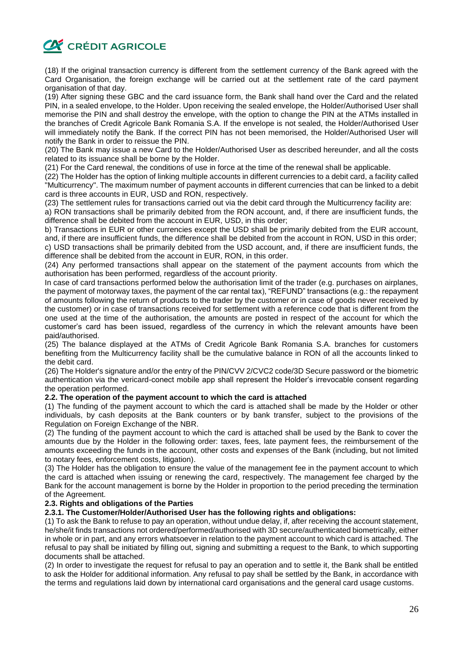

(18) If the original transaction currency is different from the settlement currency of the Bank agreed with the Card Organisation, the foreign exchange will be carried out at the settlement rate of the card payment organisation of that day.

(19) After signing these GBC and the card issuance form, the Bank shall hand over the Card and the related PIN, in a sealed envelope, to the Holder. Upon receiving the sealed envelope, the Holder/Authorised User shall memorise the PIN and shall destroy the envelope, with the option to change the PIN at the ATMs installed in the branches of Credit Agricole Bank Romania S.A. If the envelope is not sealed, the Holder/Authorised User will immediately notify the Bank. If the correct PIN has not been memorised, the Holder/Authorised User will notify the Bank in order to reissue the PIN.

(20) The Bank may issue a new Card to the Holder/Authorised User as described hereunder, and all the costs related to its issuance shall be borne by the Holder.

(21) For the Card renewal, the conditions of use in force at the time of the renewal shall be applicable.

(22) The Holder has the option of linking multiple accounts in different currencies to a debit card, a facility called "Multicurrency". The maximum number of payment accounts in different currencies that can be linked to a debit card is three accounts in EUR, USD and RON, respectively.

(23) The settlement rules for transactions carried out via the debit card through the Multicurrency facility are: a) RON transactions shall be primarily debited from the RON account, and, if there are insufficient funds, the

difference shall be debited from the account in EUR, USD, in this order;

b) Transactions in EUR or other currencies except the USD shall be primarily debited from the EUR account, and, if there are insufficient funds, the difference shall be debited from the account in RON, USD in this order; c) USD transactions shall be primarily debited from the USD account, and, if there are insufficient funds, the difference shall be debited from the account in EUR, RON, in this order.

(24) Any performed transactions shall appear on the statement of the payment accounts from which the authorisation has been performed, regardless of the account priority.

In case of card transactions performed below the authorisation limit of the trader (e.g. purchases on airplanes, the payment of motorway taxes, the payment of the car rental tax), "REFUND" transactions (e.g.: the repayment of amounts following the return of products to the trader by the customer or in case of goods never received by the customer) or in case of transactions received for settlement with a reference code that is different from the one used at the time of the authorisation, the amounts are posted in respect of the account for which the customer's card has been issued, regardless of the currency in which the relevant amounts have been paid/authorised.

(25) The balance displayed at the ATMs of Credit Agricole Bank Romania S.A. branches for customers benefiting from the Multicurrency facility shall be the cumulative balance in RON of all the accounts linked to the debit card.

(26) The Holder's signature and/or the entry of the PIN/CVV 2/CVC2 code/3D Secure password or the biometric authentication via the vericard-conect mobile app shall represent the Holder's irrevocable consent regarding the operation performed.

# **2.2. The operation of the payment account to which the card is attached**

(1) The funding of the payment account to which the card is attached shall be made by the Holder or other individuals, by cash deposits at the Bank counters or by bank transfer, subject to the provisions of the Regulation on Foreign Exchange of the NBR.

(2) The funding of the payment account to which the card is attached shall be used by the Bank to cover the amounts due by the Holder in the following order: taxes, fees, late payment fees, the reimbursement of the amounts exceeding the funds in the account, other costs and expenses of the Bank (including, but not limited to notary fees, enforcement costs, litigation).

(3) The Holder has the obligation to ensure the value of the management fee in the payment account to which the card is attached when issuing or renewing the card, respectively. The management fee charged by the Bank for the account management is borne by the Holder in proportion to the period preceding the termination of the Agreement.

#### **2.3. Rights and obligations of the Parties**

# **2.3.1. The Customer/Holder/Authorised User has the following rights and obligations:**

(1) To ask the Bank to refuse to pay an operation, without undue delay, if, after receiving the account statement, he/she/it finds transactions not ordered/performed/authorised with 3D secure/authenticated biometrically, either in whole or in part, and any errors whatsoever in relation to the payment account to which card is attached. The refusal to pay shall be initiated by filling out, signing and submitting a request to the Bank, to which supporting documents shall be attached.

(2) In order to investigate the request for refusal to pay an operation and to settle it, the Bank shall be entitled to ask the Holder for additional information. Any refusal to pay shall be settled by the Bank, in accordance with the terms and regulations laid down by international card organisations and the general card usage customs.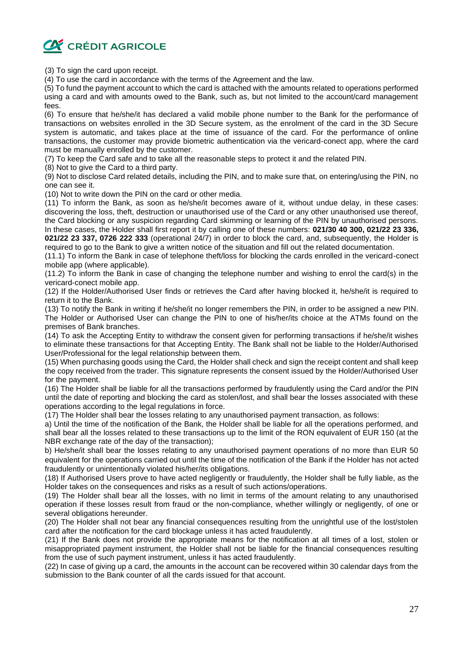

(3) To sign the card upon receipt.

(4) To use the card in accordance with the terms of the Agreement and the law.

(5) To fund the payment account to which the card is attached with the amounts related to operations performed using a card and with amounts owed to the Bank, such as, but not limited to the account/card management fees.

(6) To ensure that he/she/it has declared a valid mobile phone number to the Bank for the performance of transactions on websites enrolled in the 3D Secure system, as the enrolment of the card in the 3D Secure system is automatic, and takes place at the time of issuance of the card. For the performance of online transactions, the customer may provide biometric authentication via the vericard-conect app, where the card must be manually enrolled by the customer.

(7) To keep the Card safe and to take all the reasonable steps to protect it and the related PIN.

(8) Not to give the Card to a third party.

(9) Not to disclose Card related details, including the PIN, and to make sure that, on entering/using the PIN, no one can see it.

(10) Not to write down the PIN on the card or other media.

(11) To inform the Bank, as soon as he/she/it becomes aware of it, without undue delay, in these cases: discovering the loss, theft, destruction or unauthorised use of the Card or any other unauthorised use thereof, the Card blocking or any suspicion regarding Card skimming or learning of the PIN by unauthorised persons. In these cases, the Holder shall first report it by calling one of these numbers: **021/30 40 300, 021/22 23 336, 021/22 23 337, 0726 222 333** (operational 24/7) in order to block the card, and, subsequently, the Holder is

required to go to the Bank to give a written notice of the situation and fill out the related documentation.

(11.1) To inform the Bank in case of telephone theft/loss for blocking the cards enrolled in the vericard-conect mobile app (where applicable).

(11.2) To inform the Bank in case of changing the telephone number and wishing to enrol the card(s) in the vericard-conect mobile app.

(12) If the Holder/Authorised User finds or retrieves the Card after having blocked it, he/she/it is required to return it to the Bank.

(13) To notify the Bank in writing if he/she/it no longer remembers the PIN, in order to be assigned a new PIN. The Holder or Authorised User can change the PIN to one of his/her/its choice at the ATMs found on the premises of Bank branches.

(14) To ask the Accepting Entity to withdraw the consent given for performing transactions if he/she/it wishes to eliminate these transactions for that Accepting Entity. The Bank shall not be liable to the Holder/Authorised User/Professional for the legal relationship between them.

(15) When purchasing goods using the Card, the Holder shall check and sign the receipt content and shall keep the copy received from the trader. This signature represents the consent issued by the Holder/Authorised User for the payment.

(16) The Holder shall be liable for all the transactions performed by fraudulently using the Card and/or the PIN until the date of reporting and blocking the card as stolen/lost, and shall bear the losses associated with these operations according to the legal regulations in force.

(17) The Holder shall bear the losses relating to any unauthorised payment transaction, as follows:

a) Until the time of the notification of the Bank, the Holder shall be liable for all the operations performed, and shall bear all the losses related to these transactions up to the limit of the RON equivalent of EUR 150 (at the NBR exchange rate of the day of the transaction);

b) He/she/it shall bear the losses relating to any unauthorised payment operations of no more than EUR 50 equivalent for the operations carried out until the time of the notification of the Bank if the Holder has not acted fraudulently or unintentionally violated his/her/its obligations.

(18) If Authorised Users prove to have acted negligently or fraudulently, the Holder shall be fully liable, as the Holder takes on the consequences and risks as a result of such actions/operations.

(19) The Holder shall bear all the losses, with no limit in terms of the amount relating to any unauthorised operation if these losses result from fraud or the non-compliance, whether willingly or negligently, of one or several obligations hereunder.

(20) The Holder shall not bear any financial consequences resulting from the unrightful use of the lost/stolen card after the notification for the card blockage unless it has acted fraudulently.

(21) If the Bank does not provide the appropriate means for the notification at all times of a lost, stolen or misappropriated payment instrument, the Holder shall not be liable for the financial consequences resulting from the use of such payment instrument, unless it has acted fraudulently.

(22) In case of giving up a card, the amounts in the account can be recovered within 30 calendar days from the submission to the Bank counter of all the cards issued for that account.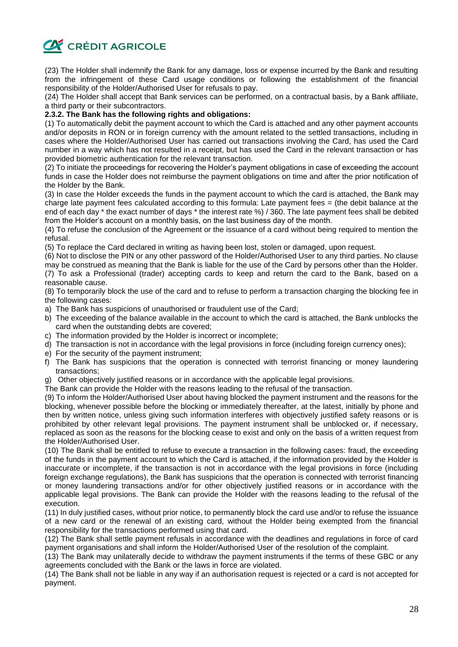

(23) The Holder shall indemnify the Bank for any damage, loss or expense incurred by the Bank and resulting from the infringement of these Card usage conditions or following the establishment of the financial responsibility of the Holder/Authorised User for refusals to pay.

(24) The Holder shall accept that Bank services can be performed, on a contractual basis, by a Bank affiliate, a third party or their subcontractors.

### **2.3.2. The Bank has the following rights and obligations:**

(1) To automatically debit the payment account to which the Card is attached and any other payment accounts and/or deposits in RON or in foreign currency with the amount related to the settled transactions, including in cases where the Holder/Authorised User has carried out transactions involving the Card, has used the Card number in a way which has not resulted in a receipt, but has used the Card in the relevant transaction or has provided biometric authentication for the relevant transaction.

(2) To initiate the proceedings for recovering the Holder's payment obligations in case of exceeding the account funds in case the Holder does not reimburse the payment obligations on time and after the prior notification of the Holder by the Bank.

(3) In case the Holder exceeds the funds in the payment account to which the card is attached, the Bank may charge late payment fees calculated according to this formula: Late payment fees = (the debit balance at the end of each day \* the exact number of days \* the interest rate %) / 360. The late payment fees shall be debited from the Holder's account on a monthly basis, on the last business day of the month.

(4) To refuse the conclusion of the Agreement or the issuance of a card without being required to mention the refusal.

(5) To replace the Card declared in writing as having been lost, stolen or damaged, upon request.

(6) Not to disclose the PIN or any other password of the Holder/Authorised User to any third parties. No clause may be construed as meaning that the Bank is liable for the use of the Card by persons other than the Holder.

(7) To ask a Professional (trader) accepting cards to keep and return the card to the Bank, based on a reasonable cause.

(8) To temporarily block the use of the card and to refuse to perform a transaction charging the blocking fee in the following cases:

- a) The Bank has suspicions of unauthorised or fraudulent use of the Card;
- b) The exceeding of the balance available in the account to which the card is attached, the Bank unblocks the card when the outstanding debts are covered;
- c) The information provided by the Holder is incorrect or incomplete;
- d) The transaction is not in accordance with the legal provisions in force (including foreign currency ones);
- e) For the security of the payment instrument;
- f) The Bank has suspicions that the operation is connected with terrorist financing or money laundering transactions;
- g) Other objectively justified reasons or in accordance with the applicable legal provisions.
- The Bank can provide the Holder with the reasons leading to the refusal of the transaction.

(9) To inform the Holder/Authorised User about having blocked the payment instrument and the reasons for the blocking, whenever possible before the blocking or immediately thereafter, at the latest, initially by phone and then by written notice, unless giving such information interferes with objectively justified safety reasons or is prohibited by other relevant legal provisions. The payment instrument shall be unblocked or, if necessary, replaced as soon as the reasons for the blocking cease to exist and only on the basis of a written request from the Holder/Authorised User.

(10) The Bank shall be entitled to refuse to execute a transaction in the following cases: fraud, the exceeding of the funds in the payment account to which the Card is attached, if the information provided by the Holder is inaccurate or incomplete, if the transaction is not in accordance with the legal provisions in force (including foreign exchange regulations), the Bank has suspicions that the operation is connected with terrorist financing or money laundering transactions and/or for other objectively justified reasons or in accordance with the applicable legal provisions. The Bank can provide the Holder with the reasons leading to the refusal of the execution.

(11) In duly justified cases, without prior notice, to permanently block the card use and/or to refuse the issuance of a new card or the renewal of an existing card, without the Holder being exempted from the financial responsibility for the transactions performed using that card.

(12) The Bank shall settle payment refusals in accordance with the deadlines and regulations in force of card payment organisations and shall inform the Holder/Authorised User of the resolution of the complaint.

(13) The Bank may unilaterally decide to withdraw the payment instruments if the terms of these GBC or any agreements concluded with the Bank or the laws in force are violated.

(14) The Bank shall not be liable in any way if an authorisation request is rejected or a card is not accepted for payment.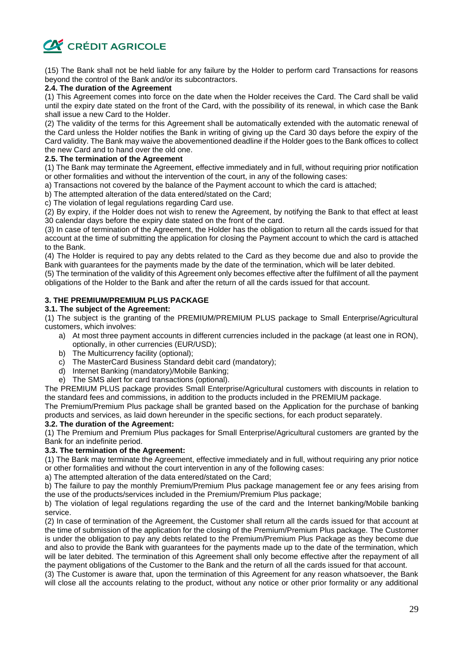

(15) The Bank shall not be held liable for any failure by the Holder to perform card Transactions for reasons beyond the control of the Bank and/or its subcontractors.

# **2.4. The duration of the Agreement**

(1) This Agreement comes into force on the date when the Holder receives the Card. The Card shall be valid until the expiry date stated on the front of the Card, with the possibility of its renewal, in which case the Bank shall issue a new Card to the Holder.

(2) The validity of the terms for this Agreement shall be automatically extended with the automatic renewal of the Card unless the Holder notifies the Bank in writing of giving up the Card 30 days before the expiry of the Card validity. The Bank may waive the abovementioned deadline if the Holder goes to the Bank offices to collect the new Card and to hand over the old one.

#### **2.5. The termination of the Agreement**

(1) The Bank may terminate the Agreement, effective immediately and in full, without requiring prior notification or other formalities and without the intervention of the court, in any of the following cases:

a) Transactions not covered by the balance of the Payment account to which the card is attached;

b) The attempted alteration of the data entered/stated on the Card;

c) The violation of legal regulations regarding Card use.

(2) By expiry, if the Holder does not wish to renew the Agreement, by notifying the Bank to that effect at least 30 calendar days before the expiry date stated on the front of the card.

(3) In case of termination of the Agreement, the Holder has the obligation to return all the cards issued for that account at the time of submitting the application for closing the Payment account to which the card is attached to the Bank.

(4) The Holder is required to pay any debts related to the Card as they become due and also to provide the Bank with guarantees for the payments made by the date of the termination, which will be later debited.

(5) The termination of the validity of this Agreement only becomes effective after the fulfilment of all the payment obligations of the Holder to the Bank and after the return of all the cards issued for that account.

# **3. THE PREMIUM/PREMIUM PLUS PACKAGE**

#### **3.1. The subject of the Agreement:**

(1) The subject is the granting of the PREMIUM/PREMIUM PLUS package to Small Enterprise/Agricultural customers, which involves:

- a) At most three payment accounts in different currencies included in the package (at least one in RON), optionally, in other currencies (EUR/USD);
- b) The Multicurrency facility (optional);
- c) The MasterCard Business Standard debit card (mandatory);
- d) Internet Banking (mandatory)/Mobile Banking;
- e) The SMS alert for card transactions (optional).

The PREMIUM PLUS package provides Small Enterprise/Agricultural customers with discounts in relation to the standard fees and commissions, in addition to the products included in the PREMIUM package.

The Premium/Premium Plus package shall be granted based on the Application for the purchase of banking products and services, as laid down hereunder in the specific sections, for each product separately.

# **3.2. The duration of the Agreement:**

(1) The Premium and Premium Plus packages for Small Enterprise/Agricultural customers are granted by the Bank for an indefinite period.

# **3.3. The termination of the Agreement:**

(1) The Bank may terminate the Agreement, effective immediately and in full, without requiring any prior notice or other formalities and without the court intervention in any of the following cases:

a) The attempted alteration of the data entered/stated on the Card;

b) The failure to pay the monthly Premium/Premium Plus package management fee or any fees arising from the use of the products/services included in the Premium/Premium Plus package;

b) The violation of legal regulations regarding the use of the card and the Internet banking/Mobile banking service.

(2) In case of termination of the Agreement, the Customer shall return all the cards issued for that account at the time of submission of the application for the closing of the Premium/Premium Plus package. The Customer is under the obligation to pay any debts related to the Premium/Premium Plus Package as they become due and also to provide the Bank with guarantees for the payments made up to the date of the termination, which will be later debited. The termination of this Agreement shall only become effective after the repayment of all the payment obligations of the Customer to the Bank and the return of all the cards issued for that account.

(3) The Customer is aware that, upon the termination of this Agreement for any reason whatsoever, the Bank will close all the accounts relating to the product, without any notice or other prior formality or any additional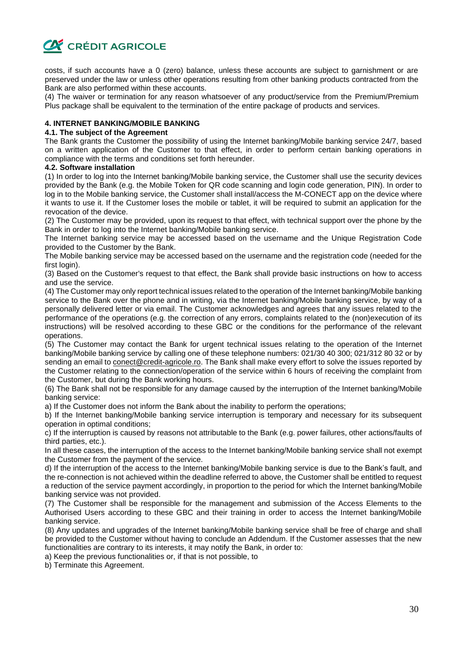

costs, if such accounts have a 0 (zero) balance, unless these accounts are subject to garnishment or are preserved under the law or unless other operations resulting from other banking products contracted from the Bank are also performed within these accounts.

(4) The waiver or termination for any reason whatsoever of any product/service from the Premium/Premium Plus package shall be equivalent to the termination of the entire package of products and services.

# **4. INTERNET BANKING/MOBILE BANKING**

#### **4.1. The subject of the Agreement**

The Bank grants the Customer the possibility of using the Internet banking/Mobile banking service 24/7, based on a written application of the Customer to that effect, in order to perform certain banking operations in compliance with the terms and conditions set forth hereunder.

#### **4.2. Software installation**

(1) In order to log into the Internet banking/Mobile banking service, the Customer shall use the security devices provided by the Bank (e.g. the Mobile Token for QR code scanning and login code generation, PIN). In order to log in to the Mobile banking service, the Customer shall install/access the M-CONECT app on the device where it wants to use it. If the Customer loses the mobile or tablet, it will be required to submit an application for the revocation of the device.

(2) The Customer may be provided, upon its request to that effect, with technical support over the phone by the Bank in order to log into the Internet banking/Mobile banking service.

The Internet banking service may be accessed based on the username and the Unique Registration Code provided to the Customer by the Bank.

The Mobile banking service may be accessed based on the username and the registration code (needed for the first login).

(3) Based on the Customer's request to that effect, the Bank shall provide basic instructions on how to access and use the service.

(4) The Customer may only report technical issues related to the operation of the Internet banking/Mobile banking service to the Bank over the phone and in writing, via the Internet banking/Mobile banking service, by way of a personally delivered letter or via email. The Customer acknowledges and agrees that any issues related to the performance of the operations (e.g. the correction of any errors, complaints related to the (non)execution of its instructions) will be resolved according to these GBC or the conditions for the performance of the relevant operations.

(5) The Customer may contact the Bank for urgent technical issues relating to the operation of the Internet banking/Mobile banking service by calling one of these telephone numbers: 021/30 40 300; 021/312 80 32 or by sending an email to conect@credit-agricole.ro. The Bank shall make every effort to solve the issues reported by the Customer relating to the connection/operation of the service within 6 hours of receiving the complaint from the Customer, but during the Bank working hours.

(6) The Bank shall not be responsible for any damage caused by the interruption of the Internet banking/Mobile banking service:

a) If the Customer does not inform the Bank about the inability to perform the operations;

b) If the Internet banking/Mobile banking service interruption is temporary and necessary for its subsequent operation in optimal conditions;

c) If the interruption is caused by reasons not attributable to the Bank (e.g. power failures, other actions/faults of third parties, etc.).

In all these cases, the interruption of the access to the Internet banking/Mobile banking service shall not exempt the Customer from the payment of the service.

d) If the interruption of the access to the Internet banking/Mobile banking service is due to the Bank's fault, and the re-connection is not achieved within the deadline referred to above, the Customer shall be entitled to request a reduction of the service payment accordingly, in proportion to the period for which the Internet banking/Mobile banking service was not provided.

(7) The Customer shall be responsible for the management and submission of the Access Elements to the Authorised Users according to these GBC and their training in order to access the Internet banking/Mobile banking service.

(8) Any updates and upgrades of the Internet banking/Mobile banking service shall be free of charge and shall be provided to the Customer without having to conclude an Addendum. If the Customer assesses that the new functionalities are contrary to its interests, it may notify the Bank, in order to:

a) Keep the previous functionalities or, if that is not possible, to

b) Terminate this Agreement.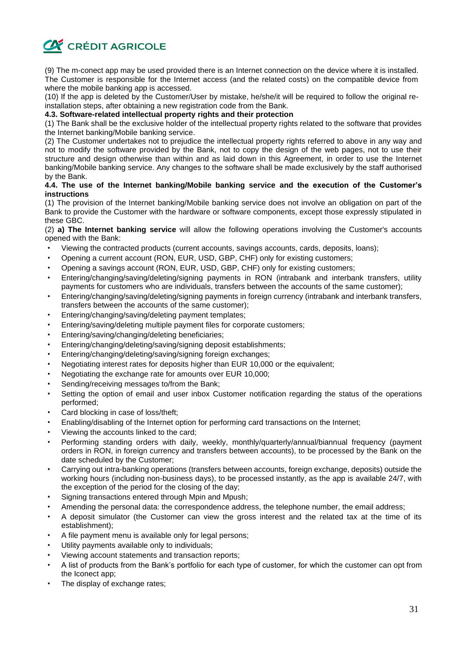

(9) The m-conect app may be used provided there is an Internet connection on the device where it is installed. The Customer is responsible for the Internet access (and the related costs) on the compatible device from where the mobile banking app is accessed.

(10) If the app is deleted by the Customer/User by mistake, he/she/it will be required to follow the original reinstallation steps, after obtaining a new registration code from the Bank.

#### **4.3. Software-related intellectual property rights and their protection**

(1) The Bank shall be the exclusive holder of the intellectual property rights related to the software that provides the Internet banking/Mobile banking service.

(2) The Customer undertakes not to prejudice the intellectual property rights referred to above in any way and not to modify the software provided by the Bank, not to copy the design of the web pages, not to use their structure and design otherwise than within and as laid down in this Agreement, in order to use the Internet banking/Mobile banking service. Any changes to the software shall be made exclusively by the staff authorised by the Bank.

# **4.4. The use of the Internet banking/Mobile banking service and the execution of the Customer's instructions**

(1) The provision of the Internet banking/Mobile banking service does not involve an obligation on part of the Bank to provide the Customer with the hardware or software components, except those expressly stipulated in these GBC.

(2) **a) The Internet banking service** will allow the following operations involving the Customer's accounts opened with the Bank:

- Viewing the contracted products (current accounts, savings accounts, cards, deposits, loans);
- Opening a current account (RON, EUR, USD, GBP, CHF) only for existing customers;
- Opening a savings account (RON, EUR, USD, GBP, CHF) only for existing customers;
- Entering/changing/saving/deleting/signing payments in RON (intrabank and interbank transfers, utility payments for customers who are individuals, transfers between the accounts of the same customer);
- Entering/changing/saving/deleting/signing payments in foreign currency (intrabank and interbank transfers, transfers between the accounts of the same customer);
- Entering/changing/saving/deleting payment templates;
- Entering/saving/deleting multiple payment files for corporate customers;
- Entering/saving/changing/deleting beneficiaries;
- Entering/changing/deleting/saving/signing deposit establishments;
- Entering/changing/deleting/saving/signing foreign exchanges;
- Negotiating interest rates for deposits higher than EUR 10,000 or the equivalent;
- Negotiating the exchange rate for amounts over EUR 10,000;
- Sending/receiving messages to/from the Bank:
- Setting the option of email and user inbox Customer notification regarding the status of the operations performed;
- Card blocking in case of loss/theft;
- Enabling/disabling of the Internet option for performing card transactions on the Internet;
- Viewing the accounts linked to the card;
- Performing standing orders with daily, weekly, monthly/quarterly/annual/biannual frequency (payment orders in RON, in foreign currency and transfers between accounts), to be processed by the Bank on the date scheduled by the Customer;
- Carrying out intra-banking operations (transfers between accounts, foreign exchange, deposits) outside the working hours (including non-business days), to be processed instantly, as the app is available 24/7, with the exception of the period for the closing of the day;
- Signing transactions entered through Mpin and Mpush;
- Amending the personal data: the correspondence address, the telephone number, the email address;
- A deposit simulator (the Customer can view the gross interest and the related tax at the time of its establishment);
- A file payment menu is available only for legal persons;
- Utility payments available only to individuals;
- Viewing account statements and transaction reports;
- A list of products from the Bank's portfolio for each type of customer, for which the customer can opt from the Iconect app;
- The display of exchange rates;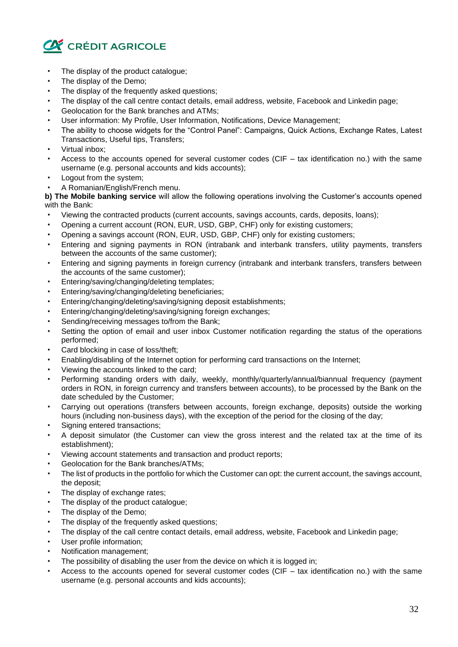

- The display of the product catalogue;
- The display of the Demo;
- The display of the frequently asked questions;
- The display of the call centre contact details, email address, website, Facebook and Linkedin page;
- Geolocation for the Bank branches and ATMs;
- User information: My Profile, User Information, Notifications, Device Management;
- The ability to choose widgets for the "Control Panel": Campaigns, Quick Actions, Exchange Rates, Latest Transactions, Useful tips, Transfers;
- Virtual inbox;
- Access to the accounts opened for several customer codes (CIF tax identification no.) with the same username (e.g. personal accounts and kids accounts);
- Logout from the system;
- A Romanian/English/French menu.

**b) The Mobile banking service** will allow the following operations involving the Customer's accounts opened with the Bank:

- Viewing the contracted products (current accounts, savings accounts, cards, deposits, loans);
- Opening a current account (RON, EUR, USD, GBP, CHF) only for existing customers;
- Opening a savings account (RON, EUR, USD, GBP, CHF) only for existing customers;
- Entering and signing payments in RON (intrabank and interbank transfers, utility payments, transfers between the accounts of the same customer);
- Entering and signing payments in foreign currency (intrabank and interbank transfers, transfers between the accounts of the same customer);
- Entering/saving/changing/deleting templates;
- Entering/saving/changing/deleting beneficiaries;
- Entering/changing/deleting/saving/signing deposit establishments;
- Entering/changing/deleting/saving/signing foreign exchanges;
- Sending/receiving messages to/from the Bank:
- Setting the option of email and user inbox Customer notification regarding the status of the operations performed;
- Card blocking in case of loss/theft:
- Enabling/disabling of the Internet option for performing card transactions on the Internet;
- Viewing the accounts linked to the card;
- Performing standing orders with daily, weekly, monthly/quarterly/annual/biannual frequency (payment orders in RON, in foreign currency and transfers between accounts), to be processed by the Bank on the date scheduled by the Customer;
- Carrying out operations (transfers between accounts, foreign exchange, deposits) outside the working hours (including non-business days), with the exception of the period for the closing of the day;
- Signing entered transactions:
- A deposit simulator (the Customer can view the gross interest and the related tax at the time of its establishment);
- Viewing account statements and transaction and product reports;
- Geolocation for the Bank branches/ATMs;
- The list of products in the portfolio for which the Customer can opt: the current account, the savings account, the deposit;
- The display of exchange rates;
- The display of the product catalogue;
- The display of the Demo;
- The display of the frequently asked questions;
- The display of the call centre contact details, email address, website, Facebook and Linkedin page;
- User profile information;
- Notification management;
- The possibility of disabling the user from the device on which it is logged in;
- Access to the accounts opened for several customer codes (CIF  $-$  tax identification no.) with the same username (e.g. personal accounts and kids accounts);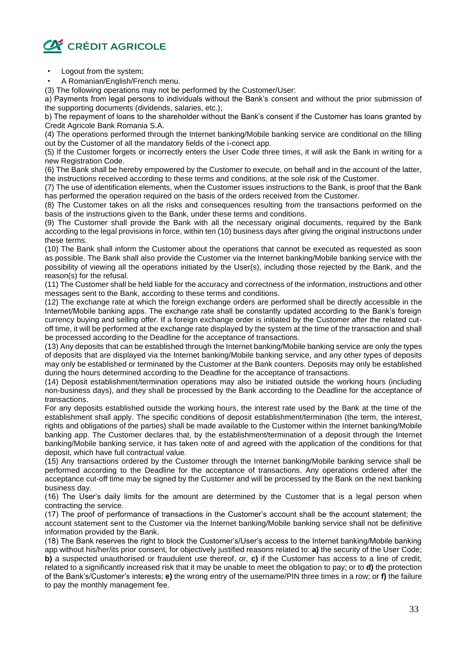

- Logout from the system;
- A Romanian/English/French menu.

(3) The following operations may not be performed by the Customer/User:

a) Payments from legal persons to individuals without the Bank's consent and without the prior submission of the supporting documents (dividends, salaries, etc.);

b) The repayment of loans to the shareholder without the Bank's consent if the Customer has loans granted by Credit Agricole Bank Romania S.A.

(4) The operations performed through the Internet banking/Mobile banking service are conditional on the filling out by the Customer of all the mandatory fields of the i-conect app.

(5) If the Customer forgets or incorrectly enters the User Code three times, it will ask the Bank in writing for a new Registration Code.

(6) The Bank shall be hereby empowered by the Customer to execute, on behalf and in the account of the latter, the instructions received according to these terms and conditions, at the sole risk of the Customer.

(7) The use of identification elements, when the Customer issues instructions to the Bank, is proof that the Bank has performed the operation required on the basis of the orders received from the Customer.

(8) The Customer takes on all the risks and consequences resulting from the transactions performed on the basis of the instructions given to the Bank, under these terms and conditions.

(9) The Customer shall provide the Bank with all the necessary original documents, required by the Bank according to the legal provisions in force, within ten (10) business days after giving the original instructions under these terms.

(10) The Bank shall inform the Customer about the operations that cannot be executed as requested as soon as possible. The Bank shall also provide the Customer via the Internet banking/Mobile banking service with the possibility of viewing all the operations initiated by the User(s), including those rejected by the Bank, and the reason(s) for the refusal.

(11) The Customer shall be held liable for the accuracy and correctness of the information, instructions and other messages sent to the Bank, according to these terms and conditions.

(12) The exchange rate at which the foreign exchange orders are performed shall be directly accessible in the Internet/Mobile banking apps. The exchange rate shall be constantly updated according to the Bank's foreign currency buying and selling offer. If a foreign exchange order is initiated by the Customer after the related cutoff time, it will be performed at the exchange rate displayed by the system at the time of the transaction and shall be processed according to the Deadline for the acceptance of transactions.

(13) Any deposits that can be established through the Internet banking/Mobile banking service are only the types of deposits that are displayed via the Internet banking/Mobile banking service, and any other types of deposits may only be established or terminated by the Customer at the Bank counters. Deposits may only be established during the hours determined according to the Deadline for the acceptance of transactions.

(14) Deposit establishment/termination operations may also be initiated outside the working hours (including non-business days), and they shall be processed by the Bank according to the Deadline for the acceptance of transactions.

For any deposits established outside the working hours, the interest rate used by the Bank at the time of the establishment shall apply. The specific conditions of deposit establishment/termination (the term, the interest, rights and obligations of the parties) shall be made available to the Customer within the Internet banking/Mobile banking app. The Customer declares that, by the establishment/termination of a deposit through the Internet banking/Mobile banking service, it has taken note of and agreed with the application of the conditions for that deposit, which have full contractual value.

(15) Any transactions ordered by the Customer through the Internet banking/Mobile banking service shall be performed according to the Deadline for the acceptance of transactions. Any operations ordered after the acceptance cut-off time may be signed by the Customer and will be processed by the Bank on the next banking business day.

(16) The User's daily limits for the amount are determined by the Customer that is a legal person when contracting the service.

(17) The proof of performance of transactions in the Customer's account shall be the account statement; the account statement sent to the Customer via the Internet banking/Mobile banking service shall not be definitive information provided by the Bank.

(18) The Bank reserves the right to block the Customer's/User's access to the Internet banking/Mobile banking app without his/her/its prior consent, for objectively justified reasons related to: **a)** the security of the User Code; **b)** a suspected unauthorised or fraudulent use thereof, or, **c)** if the Customer has access to a line of credit, related to a significantly increased risk that it may be unable to meet the obligation to pay; or to **d)** the protection of the Bank's/Customer's interests; **e)** the wrong entry of the username/PIN three times in a row; or **f)** the failure to pay the monthly management fee.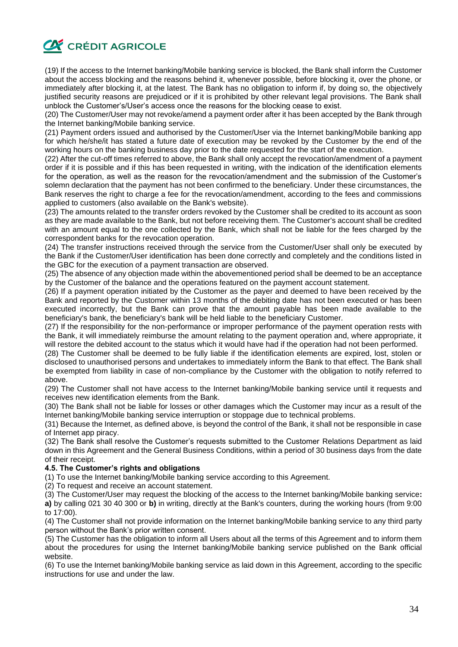

(19) If the access to the Internet banking/Mobile banking service is blocked, the Bank shall inform the Customer about the access blocking and the reasons behind it, whenever possible, before blocking it, over the phone, or immediately after blocking it, at the latest. The Bank has no obligation to inform if, by doing so, the objectively justified security reasons are prejudiced or if it is prohibited by other relevant legal provisions. The Bank shall unblock the Customer's/User's access once the reasons for the blocking cease to exist.

(20) The Customer/User may not revoke/amend a payment order after it has been accepted by the Bank through the Internet banking/Mobile banking service.

(21) Payment orders issued and authorised by the Customer/User via the Internet banking/Mobile banking app for which he/she/it has stated a future date of execution may be revoked by the Customer by the end of the working hours on the banking business day prior to the date requested for the start of the execution.

(22) After the cut-off times referred to above, the Bank shall only accept the revocation/amendment of a payment order if it is possible and if this has been requested in writing, with the indication of the identification elements for the operation, as well as the reason for the revocation/amendment and the submission of the Customer's solemn declaration that the payment has not been confirmed to the beneficiary. Under these circumstances, the Bank reserves the right to charge a fee for the revocation/amendment, according to the fees and commissions applied to customers (also available on the Bank's website).

(23) The amounts related to the transfer orders revoked by the Customer shall be credited to its account as soon as they are made available to the Bank, but not before receiving them. The Customer's account shall be credited with an amount equal to the one collected by the Bank, which shall not be liable for the fees charged by the correspondent banks for the revocation operation.

(24) The transfer instructions received through the service from the Customer/User shall only be executed by the Bank if the Customer/User identification has been done correctly and completely and the conditions listed in the GBC for the execution of a payment transaction are observed.

(25) The absence of any objection made within the abovementioned period shall be deemed to be an acceptance by the Customer of the balance and the operations featured on the payment account statement.

(26) If a payment operation initiated by the Customer as the payer and deemed to have been received by the Bank and reported by the Customer within 13 months of the debiting date has not been executed or has been executed incorrectly, but the Bank can prove that the amount payable has been made available to the beneficiary's bank, the beneficiary's bank will be held liable to the beneficiary Customer.

(27) If the responsibility for the non-performance or improper performance of the payment operation rests with the Bank, it will immediately reimburse the amount relating to the payment operation and, where appropriate, it will restore the debited account to the status which it would have had if the operation had not been performed.

(28) The Customer shall be deemed to be fully liable if the identification elements are expired, lost, stolen or disclosed to unauthorised persons and undertakes to immediately inform the Bank to that effect. The Bank shall be exempted from liability in case of non-compliance by the Customer with the obligation to notify referred to above.

(29) The Customer shall not have access to the Internet banking/Mobile banking service until it requests and receives new identification elements from the Bank.

(30) The Bank shall not be liable for losses or other damages which the Customer may incur as a result of the Internet banking/Mobile banking service interruption or stoppage due to technical problems.

(31) Because the Internet, as defined above, is beyond the control of the Bank, it shall not be responsible in case of Internet app piracy.

(32) The Bank shall resolve the Customer's requests submitted to the Customer Relations Department as laid down in this Agreement and the General Business Conditions, within a period of 30 business days from the date of their receipt.

#### **4.5. The Customer's rights and obligations**

(1) To use the Internet banking/Mobile banking service according to this Agreement.

(2) To request and receive an account statement.

(3) The Customer/User may request the blocking of the access to the Internet banking/Mobile banking service**: a)** by calling 021 30 40 300 or **b)** in writing, directly at the Bank's counters, during the working hours (from 9:00 to 17:00).

(4) The Customer shall not provide information on the Internet banking/Mobile banking service to any third party person without the Bank's prior written consent.

(5) The Customer has the obligation to inform all Users about all the terms of this Agreement and to inform them about the procedures for using the Internet banking/Mobile banking service published on the Bank official website.

(6) To use the Internet banking/Mobile banking service as laid down in this Agreement, according to the specific instructions for use and under the law.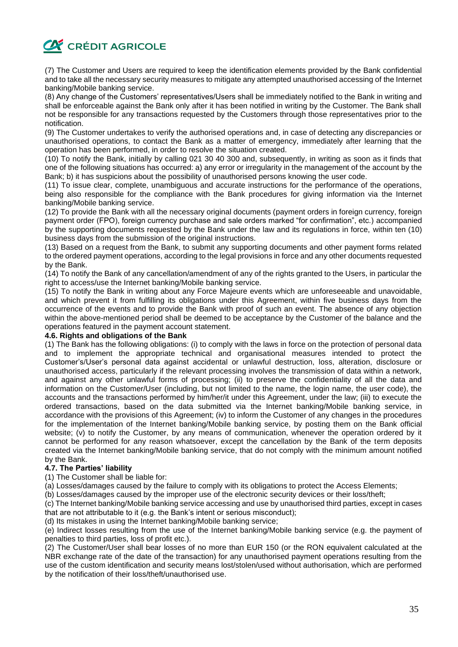

(7) The Customer and Users are required to keep the identification elements provided by the Bank confidential and to take all the necessary security measures to mitigate any attempted unauthorised accessing of the Internet banking/Mobile banking service.

(8) Any change of the Customers' representatives/Users shall be immediately notified to the Bank in writing and shall be enforceable against the Bank only after it has been notified in writing by the Customer. The Bank shall not be responsible for any transactions requested by the Customers through those representatives prior to the notification.

(9) The Customer undertakes to verify the authorised operations and, in case of detecting any discrepancies or unauthorised operations, to contact the Bank as a matter of emergency, immediately after learning that the operation has been performed, in order to resolve the situation created.

(10) To notify the Bank, initially by calling 021 30 40 300 and, subsequently, in writing as soon as it finds that one of the following situations has occurred: a) any error or irregularity in the management of the account by the Bank; b) it has suspicions about the possibility of unauthorised persons knowing the user code.

(11) To issue clear, complete, unambiguous and accurate instructions for the performance of the operations, being also responsible for the compliance with the Bank procedures for giving information via the Internet banking/Mobile banking service.

(12) To provide the Bank with all the necessary original documents (payment orders in foreign currency, foreign payment order (FPO), foreign currency purchase and sale orders marked "for confirmation", etc.) accompanied by the supporting documents requested by the Bank under the law and its regulations in force, within ten (10) business days from the submission of the original instructions.

(13) Based on a request from the Bank, to submit any supporting documents and other payment forms related to the ordered payment operations, according to the legal provisions in force and any other documents requested by the Bank.

(14) To notify the Bank of any cancellation/amendment of any of the rights granted to the Users, in particular the right to access/use the Internet banking/Mobile banking service.

(15) To notify the Bank in writing about any Force Majeure events which are unforeseeable and unavoidable, and which prevent it from fulfilling its obligations under this Agreement, within five business days from the occurrence of the events and to provide the Bank with proof of such an event. The absence of any objection within the above-mentioned period shall be deemed to be acceptance by the Customer of the balance and the operations featured in the payment account statement.

# **4.6. Rights and obligations of the Bank**

(1) The Bank has the following obligations: (i) to comply with the laws in force on the protection of personal data and to implement the appropriate technical and organisational measures intended to protect the Customer's/User's personal data against accidental or unlawful destruction, loss, alteration, disclosure or unauthorised access, particularly if the relevant processing involves the transmission of data within a network, and against any other unlawful forms of processing; (ii) to preserve the confidentiality of all the data and information on the Customer/User (including, but not limited to the name, the login name, the user code), the accounts and the transactions performed by him/her/it under this Agreement, under the law; (iii) to execute the ordered transactions, based on the data submitted via the Internet banking/Mobile banking service, in accordance with the provisions of this Agreement; (iv) to inform the Customer of any changes in the procedures for the implementation of the Internet banking/Mobile banking service, by posting them on the Bank official website; (v) to notify the Customer, by any means of communication, whenever the operation ordered by it cannot be performed for any reason whatsoever, except the cancellation by the Bank of the term deposits created via the Internet banking/Mobile banking service, that do not comply with the minimum amount notified by the Bank.

#### **4.7. The Parties' liability**

(1) The Customer shall be liable for:

(a) Losses/damages caused by the failure to comply with its obligations to protect the Access Elements;

(b) Losses/damages caused by the improper use of the electronic security devices or their loss/theft;

(c) The Internet banking/Mobile banking service accessing and use by unauthorised third parties, except in cases that are not attributable to it (e.g. the Bank's intent or serious misconduct);

(d) Its mistakes in using the Internet banking/Mobile banking service;

(e) Indirect losses resulting from the use of the Internet banking/Mobile banking service (e.g. the payment of penalties to third parties, loss of profit etc.).

(2) The Customer/User shall bear losses of no more than EUR 150 (or the RON equivalent calculated at the NBR exchange rate of the date of the transaction) for any unauthorised payment operations resulting from the use of the custom identification and security means lost/stolen/used without authorisation, which are performed by the notification of their loss/theft/unauthorised use.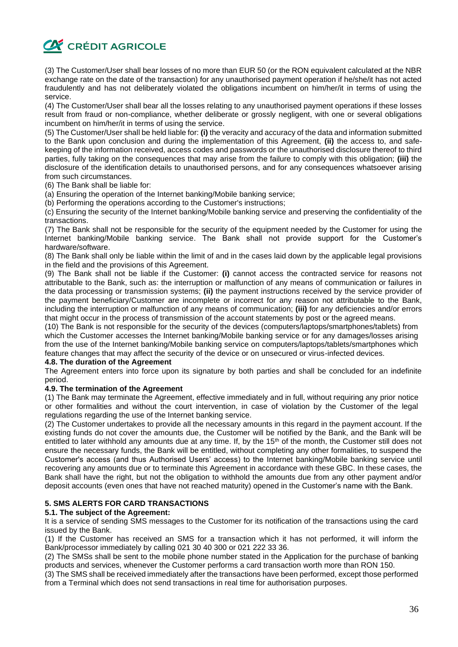

(3) The Customer/User shall bear losses of no more than EUR 50 (or the RON equivalent calculated at the NBR exchange rate on the date of the transaction) for any unauthorised payment operation if he/she/it has not acted fraudulently and has not deliberately violated the obligations incumbent on him/her/it in terms of using the service.

(4) The Customer/User shall bear all the losses relating to any unauthorised payment operations if these losses result from fraud or non-compliance, whether deliberate or grossly negligent, with one or several obligations incumbent on him/her/it in terms of using the service.

(5) The Customer/User shall be held liable for: **(i)** the veracity and accuracy of the data and information submitted to the Bank upon conclusion and during the implementation of this Agreement, **(ii)** the access to, and safekeeping of the information received, access codes and passwords or the unauthorised disclosure thereof to third parties, fully taking on the consequences that may arise from the failure to comply with this obligation; **(iii)** the disclosure of the identification details to unauthorised persons, and for any consequences whatsoever arising from such circumstances.

(6) The Bank shall be liable for:

(a) Ensuring the operation of the Internet banking/Mobile banking service;

(b) Performing the operations according to the Customer's instructions;

(c) Ensuring the security of the Internet banking/Mobile banking service and preserving the confidentiality of the transactions.

(7) The Bank shall not be responsible for the security of the equipment needed by the Customer for using the Internet banking/Mobile banking service. The Bank shall not provide support for the Customer's hardware/software.

(8) The Bank shall only be liable within the limit of and in the cases laid down by the applicable legal provisions in the field and the provisions of this Agreement.

(9) The Bank shall not be liable if the Customer: **(i)** cannot access the contracted service for reasons not attributable to the Bank, such as: the interruption or malfunction of any means of communication or failures in the data processing or transmission systems; **(ii)** the payment instructions received by the service provider of the payment beneficiary/Customer are incomplete or incorrect for any reason not attributable to the Bank, including the interruption or malfunction of any means of communication; **(iii)** for any deficiencies and/or errors that might occur in the process of transmission of the account statements by post or the agreed means.

(10) The Bank is not responsible for the security of the devices (computers/laptops/smartphones/tablets) from which the Customer accesses the Internet banking/Mobile banking service or for any damages/losses arising from the use of the Internet banking/Mobile banking service on computers/laptops/tablets/smartphones which feature changes that may affect the security of the device or on unsecured or virus-infected devices.

#### **4.8. The duration of the Agreement**

The Agreement enters into force upon its signature by both parties and shall be concluded for an indefinite period.

#### **4.9. The termination of the Agreement**

(1) The Bank may terminate the Agreement, effective immediately and in full, without requiring any prior notice or other formalities and without the court intervention, in case of violation by the Customer of the legal regulations regarding the use of the Internet banking service.

(2) The Customer undertakes to provide all the necessary amounts in this regard in the payment account. If the existing funds do not cover the amounts due, the Customer will be notified by the Bank, and the Bank will be entitled to later withhold any amounts due at any time. If, by the 15<sup>th</sup> of the month, the Customer still does not ensure the necessary funds, the Bank will be entitled, without completing any other formalities, to suspend the Customer's access (and thus Authorised Users' access) to the Internet banking/Mobile banking service until recovering any amounts due or to terminate this Agreement in accordance with these GBC. In these cases, the Bank shall have the right, but not the obligation to withhold the amounts due from any other payment and/or deposit accounts (even ones that have not reached maturity) opened in the Customer's name with the Bank.

# **5. SMS ALERTS FOR CARD TRANSACTIONS**

#### **5.1. The subject of the Agreement:**

It is a service of sending SMS messages to the Customer for its notification of the transactions using the card issued by the Bank.

(1) If the Customer has received an SMS for a transaction which it has not performed, it will inform the Bank/processor immediately by calling 021 30 40 300 or 021 222 33 36.

(2) The SMSs shall be sent to the mobile phone number stated in the Application for the purchase of banking products and services, whenever the Customer performs a card transaction worth more than RON 150.

(3) The SMS shall be received immediately after the transactions have been performed, except those performed from a Terminal which does not send transactions in real time for authorisation purposes.